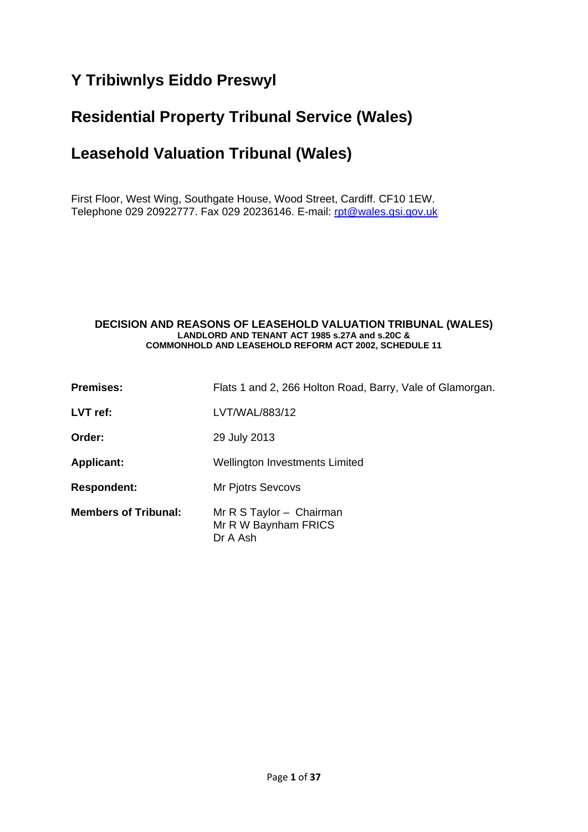# **Y Tribiwnlys Eiddo Preswyl**

# **Residential Property Tribunal Service (Wales)**

# **Leasehold Valuation Tribunal (Wales)**

First Floor, West Wing, Southgate House, Wood Street, Cardiff. CF10 1EW. Telephone 029 20922777. Fax 029 20236146. E-mail: [rpt@wales.gsi.gov.uk](mailto:rpt@wales.gsi.gov.uk)

#### **DECISION AND REASONS OF LEASEHOLD VALUATION TRIBUNAL (WALES) LANDLORD AND TENANT ACT 1985 s.27A and s.20C & COMMONHOLD AND LEASEHOLD REFORM ACT 2002, SCHEDULE 11**

| <b>Premises:</b>            | Flats 1 and 2, 266 Holton Road, Barry, Vale of Glamorgan.    |
|-----------------------------|--------------------------------------------------------------|
| $LVT$ ref:                  | LVT/WAL/883/12                                               |
| Order:                      | 29 July 2013                                                 |
| <b>Applicant:</b>           | Wellington Investments Limited                               |
| <b>Respondent:</b>          | <b>Mr Pjotrs Sevcovs</b>                                     |
| <b>Members of Tribunal:</b> | Mr R S Taylor - Chairman<br>Mr R W Baynham FRICS<br>Dr A Ash |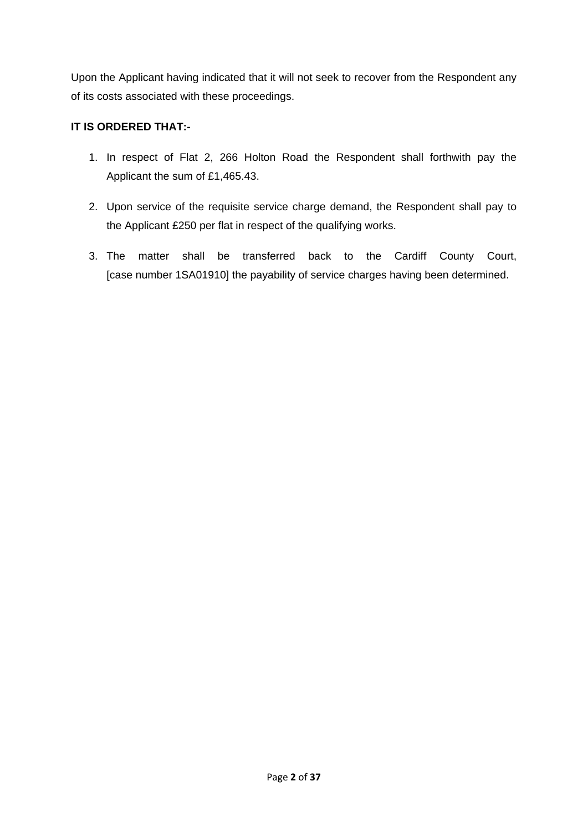Upon the Applicant having indicated that it will not seek to recover from the Respondent any of its costs associated with these proceedings.

## **IT IS ORDERED THAT:-**

- 1. In respect of Flat 2, 266 Holton Road the Respondent shall forthwith pay the Applicant the sum of £1,465.43.
- 2. Upon service of the requisite service charge demand, the Respondent shall pay to the Applicant £250 per flat in respect of the qualifying works.
- 3. The matter shall be transferred back to the Cardiff County Court, [case number 1SA01910] the payability of service charges having been determined.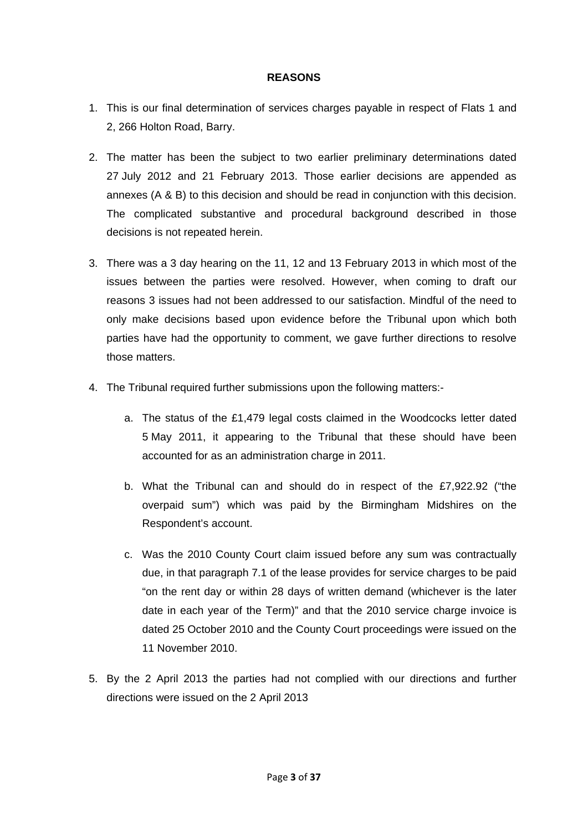#### **REASONS**

- 1. This is our final determination of services charges payable in respect of Flats 1 and 2, 266 Holton Road, Barry.
- 2. The matter has been the subject to two earlier preliminary determinations dated 27 July 2012 and 21 February 2013. Those earlier decisions are appended as annexes (A & B) to this decision and should be read in conjunction with this decision. The complicated substantive and procedural background described in those decisions is not repeated herein.
- 3. There was a 3 day hearing on the 11, 12 and 13 February 2013 in which most of the issues between the parties were resolved. However, when coming to draft our reasons 3 issues had not been addressed to our satisfaction. Mindful of the need to only make decisions based upon evidence before the Tribunal upon which both parties have had the opportunity to comment, we gave further directions to resolve those matters.
- 4. The Tribunal required further submissions upon the following matters:
	- a. The status of the £1,479 legal costs claimed in the Woodcocks letter dated 5 May 2011, it appearing to the Tribunal that these should have been accounted for as an administration charge in 2011.
	- b. What the Tribunal can and should do in respect of the £7,922.92 ("the overpaid sum") which was paid by the Birmingham Midshires on the Respondent's account.
	- c. Was the 2010 County Court claim issued before any sum was contractually due, in that paragraph 7.1 of the lease provides for service charges to be paid "on the rent day or within 28 days of written demand (whichever is the later date in each year of the Term)" and that the 2010 service charge invoice is dated 25 October 2010 and the County Court proceedings were issued on the 11 November 2010.
- 5. By the 2 April 2013 the parties had not complied with our directions and further directions were issued on the 2 April 2013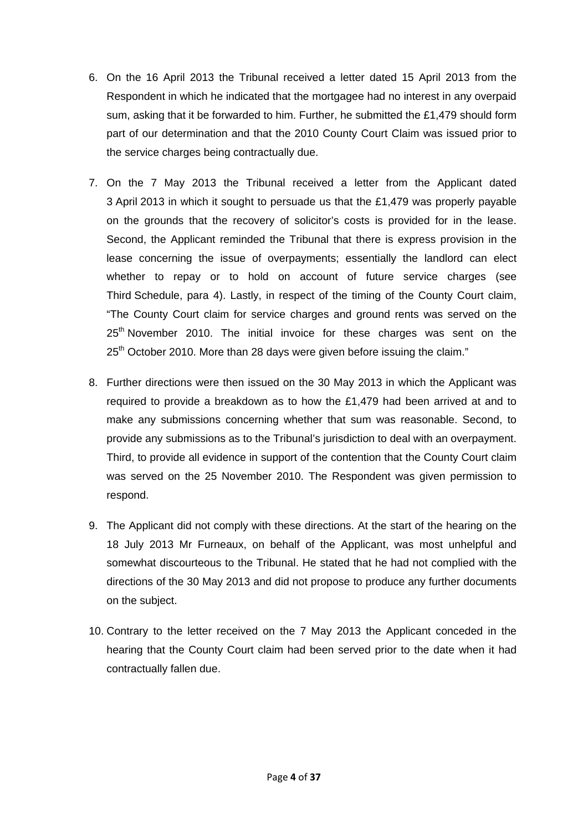- 6. On the 16 April 2013 the Tribunal received a letter dated 15 April 2013 from the Respondent in which he indicated that the mortgagee had no interest in any overpaid sum, asking that it be forwarded to him. Further, he submitted the £1,479 should form part of our determination and that the 2010 County Court Claim was issued prior to the service charges being contractually due.
- 7. On the 7 May 2013 the Tribunal received a letter from the Applicant dated 3 April 2013 in which it sought to persuade us that the £1,479 was properly payable on the grounds that the recovery of solicitor's costs is provided for in the lease. Second, the Applicant reminded the Tribunal that there is express provision in the lease concerning the issue of overpayments; essentially the landlord can elect whether to repay or to hold on account of future service charges (see Third Schedule, para 4). Lastly, in respect of the timing of the County Court claim, "The County Court claim for service charges and ground rents was served on the 25<sup>th</sup> November 2010. The initial invoice for these charges was sent on the 25<sup>th</sup> October 2010. More than 28 days were given before issuing the claim."
- 8. Further directions were then issued on the 30 May 2013 in which the Applicant was required to provide a breakdown as to how the £1,479 had been arrived at and to make any submissions concerning whether that sum was reasonable. Second, to provide any submissions as to the Tribunal's jurisdiction to deal with an overpayment. Third, to provide all evidence in support of the contention that the County Court claim was served on the 25 November 2010. The Respondent was given permission to respond.
- 9. The Applicant did not comply with these directions. At the start of the hearing on the 18 July 2013 Mr Furneaux, on behalf of the Applicant, was most unhelpful and somewhat discourteous to the Tribunal. He stated that he had not complied with the directions of the 30 May 2013 and did not propose to produce any further documents on the subject.
- 10. Contrary to the letter received on the 7 May 2013 the Applicant conceded in the hearing that the County Court claim had been served prior to the date when it had contractually fallen due.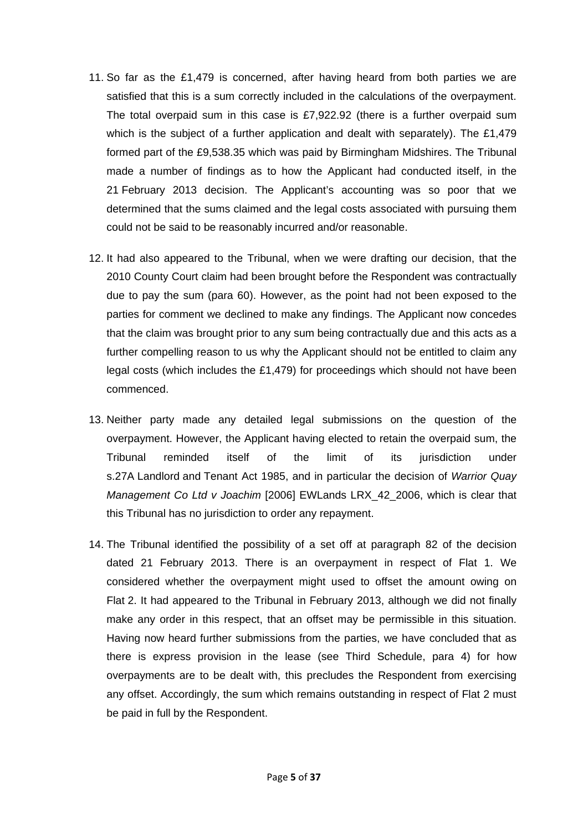- 11. So far as the £1,479 is concerned, after having heard from both parties we are satisfied that this is a sum correctly included in the calculations of the overpayment. The total overpaid sum in this case is £7,922.92 (there is a further overpaid sum which is the subject of a further application and dealt with separately). The £1,479 formed part of the £9,538.35 which was paid by Birmingham Midshires. The Tribunal made a number of findings as to how the Applicant had conducted itself, in the 21 February 2013 decision. The Applicant's accounting was so poor that we determined that the sums claimed and the legal costs associated with pursuing them could not be said to be reasonably incurred and/or reasonable.
- 12. It had also appeared to the Tribunal, when we were drafting our decision, that the 2010 County Court claim had been brought before the Respondent was contractually due to pay the sum (para 60). However, as the point had not been exposed to the parties for comment we declined to make any findings. The Applicant now concedes that the claim was brought prior to any sum being contractually due and this acts as a further compelling reason to us why the Applicant should not be entitled to claim any legal costs (which includes the £1,479) for proceedings which should not have been commenced.
- 13. Neither party made any detailed legal submissions on the question of the overpayment. However, the Applicant having elected to retain the overpaid sum, the Tribunal reminded itself of the limit of its jurisdiction under s.27A Landlord and Tenant Act 1985, and in particular the decision of *Warrior Quay Management Co Ltd v Joachim* [2006] EWLands LRX\_42\_2006, which is clear that this Tribunal has no jurisdiction to order any repayment.
- 14. The Tribunal identified the possibility of a set off at paragraph 82 of the decision dated 21 February 2013. There is an overpayment in respect of Flat 1. We considered whether the overpayment might used to offset the amount owing on Flat 2. It had appeared to the Tribunal in February 2013, although we did not finally make any order in this respect, that an offset may be permissible in this situation. Having now heard further submissions from the parties, we have concluded that as there is express provision in the lease (see Third Schedule, para 4) for how overpayments are to be dealt with, this precludes the Respondent from exercising any offset. Accordingly, the sum which remains outstanding in respect of Flat 2 must be paid in full by the Respondent.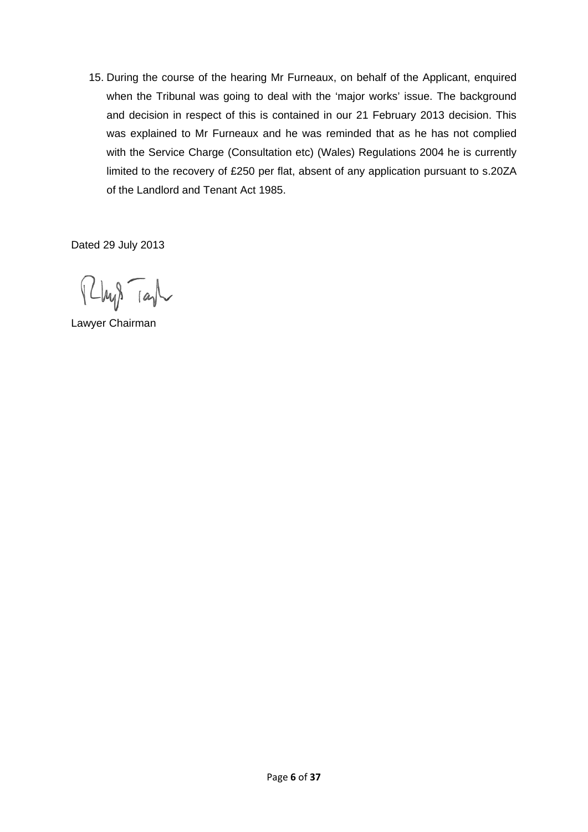15. During the course of the hearing Mr Furneaux, on behalf of the Applicant, enquired when the Tribunal was going to deal with the 'major works' issue. The background and decision in respect of this is contained in our 21 February 2013 decision. This was explained to Mr Furneaux and he was reminded that as he has not complied with the Service Charge (Consultation etc) (Wales) Regulations 2004 he is currently limited to the recovery of £250 per flat, absent of any application pursuant to s.20ZA of the Landlord and Tenant Act 1985.

Dated 29 July 2013

 $\mu\beta$  ray

Lawyer Chairman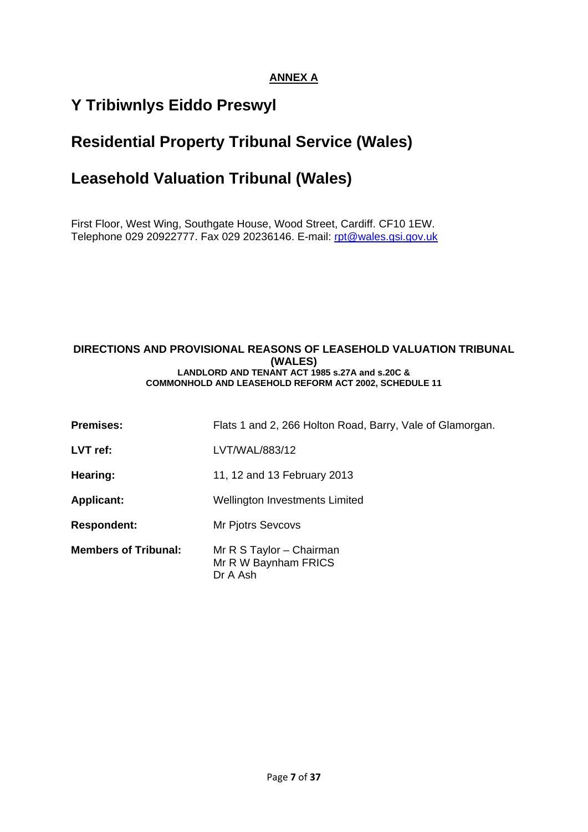## **ANNEX A**

# **Y Tribiwnlys Eiddo Preswyl**

# **Residential Property Tribunal Service (Wales)**

# **Leasehold Valuation Tribunal (Wales)**

First Floor, West Wing, Southgate House, Wood Street, Cardiff. CF10 1EW. Telephone 029 20922777. Fax 029 20236146. E-mail: [rpt@wales.gsi.gov.uk](mailto:rpt@wales.gsi.gov.uk)

#### **DIRECTIONS AND PROVISIONAL REASONS OF LEASEHOLD VALUATION TRIBUNAL (WALES) LANDLORD AND TENANT ACT 1985 s.27A and s.20C & COMMONHOLD AND LEASEHOLD REFORM ACT 2002, SCHEDULE 11**

| <b>Premises:</b>            | Flats 1 and 2, 266 Holton Road, Barry, Vale of Glamorgan.    |
|-----------------------------|--------------------------------------------------------------|
| LVT ref:                    | LVT/WAL/883/12                                               |
| Hearing:                    | 11, 12 and 13 February 2013                                  |
| <b>Applicant:</b>           | <b>Wellington Investments Limited</b>                        |
| <b>Respondent:</b>          | Mr Pjotrs Sevcovs                                            |
| <b>Members of Tribunal:</b> | Mr R S Taylor - Chairman<br>Mr R W Baynham FRICS<br>Dr A Ash |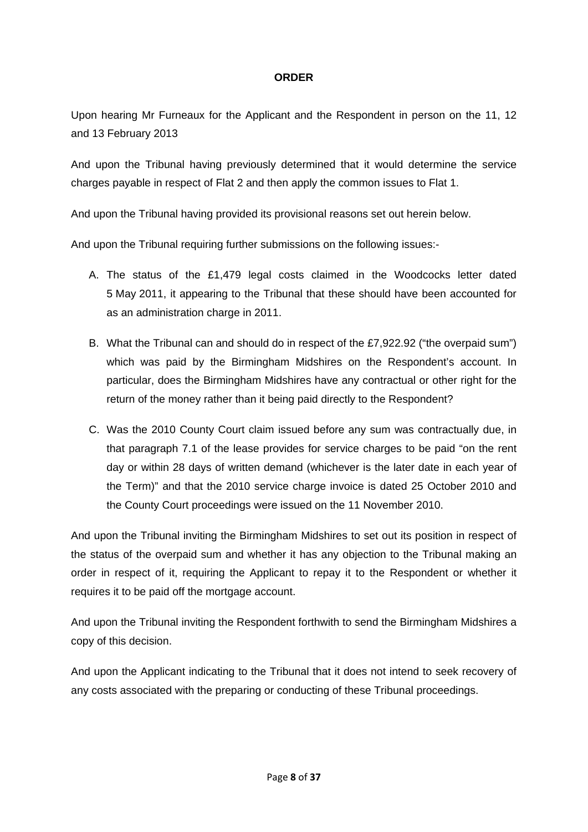### **ORDER**

Upon hearing Mr Furneaux for the Applicant and the Respondent in person on the 11, 12 and 13 February 2013

And upon the Tribunal having previously determined that it would determine the service charges payable in respect of Flat 2 and then apply the common issues to Flat 1.

And upon the Tribunal having provided its provisional reasons set out herein below.

And upon the Tribunal requiring further submissions on the following issues:-

- A. The status of the £1,479 legal costs claimed in the Woodcocks letter dated 5 May 2011, it appearing to the Tribunal that these should have been accounted for as an administration charge in 2011.
- B. What the Tribunal can and should do in respect of the £7,922.92 ("the overpaid sum") which was paid by the Birmingham Midshires on the Respondent's account. In particular, does the Birmingham Midshires have any contractual or other right for the return of the money rather than it being paid directly to the Respondent?
- C. Was the 2010 County Court claim issued before any sum was contractually due, in that paragraph 7.1 of the lease provides for service charges to be paid "on the rent day or within 28 days of written demand (whichever is the later date in each year of the Term)" and that the 2010 service charge invoice is dated 25 October 2010 and the County Court proceedings were issued on the 11 November 2010.

And upon the Tribunal inviting the Birmingham Midshires to set out its position in respect of the status of the overpaid sum and whether it has any objection to the Tribunal making an order in respect of it, requiring the Applicant to repay it to the Respondent or whether it requires it to be paid off the mortgage account.

And upon the Tribunal inviting the Respondent forthwith to send the Birmingham Midshires a copy of this decision.

And upon the Applicant indicating to the Tribunal that it does not intend to seek recovery of any costs associated with the preparing or conducting of these Tribunal proceedings.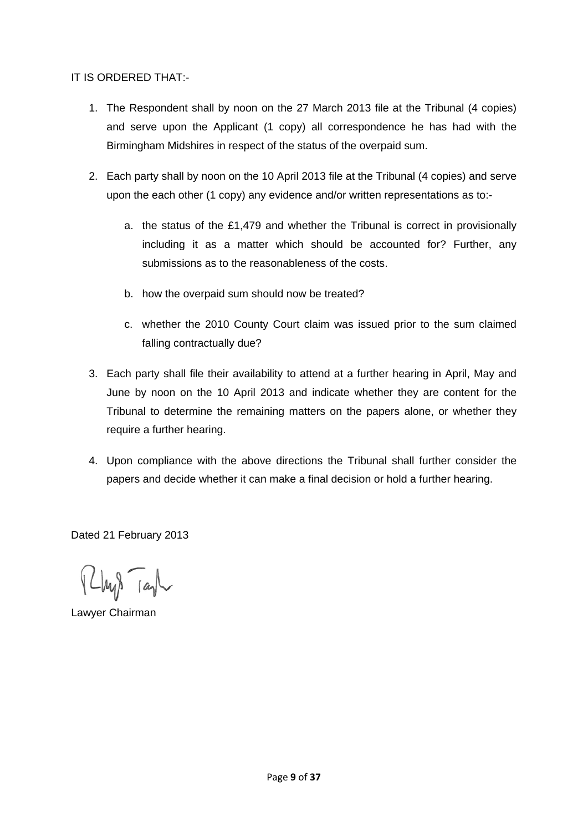### IT IS ORDERED THAT:-

- 1. The Respondent shall by noon on the 27 March 2013 file at the Tribunal (4 copies) and serve upon the Applicant (1 copy) all correspondence he has had with the Birmingham Midshires in respect of the status of the overpaid sum.
- 2. Each party shall by noon on the 10 April 2013 file at the Tribunal (4 copies) and serve upon the each other (1 copy) any evidence and/or written representations as to:
	- a. the status of the £1,479 and whether the Tribunal is correct in provisionally including it as a matter which should be accounted for? Further, any submissions as to the reasonableness of the costs.
	- b. how the overpaid sum should now be treated?
	- c. whether the 2010 County Court claim was issued prior to the sum claimed falling contractually due?
- 3. Each party shall file their availability to attend at a further hearing in April, May and June by noon on the 10 April 2013 and indicate whether they are content for the Tribunal to determine the remaining matters on the papers alone, or whether they require a further hearing.
- 4. Upon compliance with the above directions the Tribunal shall further consider the papers and decide whether it can make a final decision or hold a further hearing.

Dated 21 February 2013

 $\mu$ ys rayl

Lawyer Chairman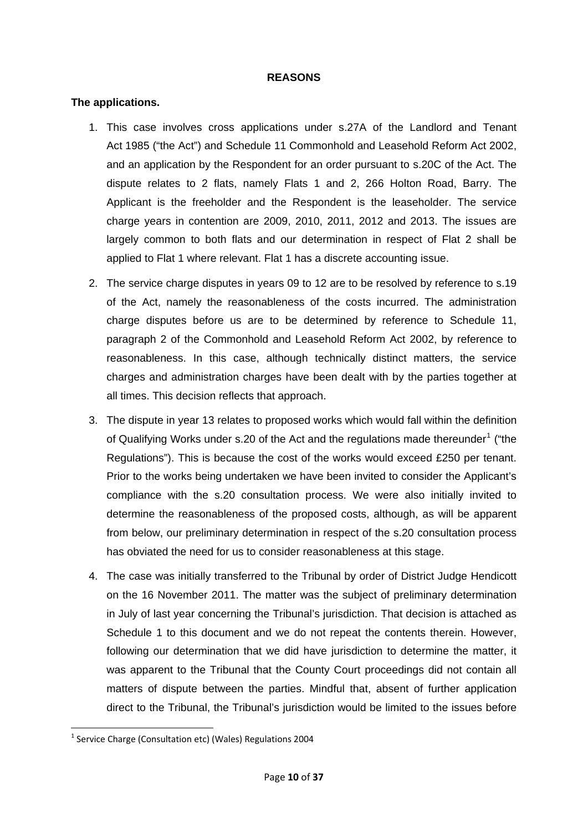#### **REASONS**

#### **The applications.**

- 1. This case involves cross applications under s.27A of the Landlord and Tenant Act 1985 ("the Act") and Schedule 11 Commonhold and Leasehold Reform Act 2002, and an application by the Respondent for an order pursuant to s.20C of the Act. The dispute relates to 2 flats, namely Flats 1 and 2, 266 Holton Road, Barry. The Applicant is the freeholder and the Respondent is the leaseholder. The service charge years in contention are 2009, 2010, 2011, 2012 and 2013. The issues are largely common to both flats and our determination in respect of Flat 2 shall be applied to Flat 1 where relevant. Flat 1 has a discrete accounting issue.
- 2. The service charge disputes in years 09 to 12 are to be resolved by reference to s.19 of the Act, namely the reasonableness of the costs incurred. The administration charge disputes before us are to be determined by reference to Schedule 11, paragraph 2 of the Commonhold and Leasehold Reform Act 2002, by reference to reasonableness. In this case, although technically distinct matters, the service charges and administration charges have been dealt with by the parties together at all times. This decision reflects that approach.
- 3. The dispute in year 13 relates to proposed works which would fall within the definition of Qualifying Works under s.20 of the Act and the regulations made thereunder<sup>[1](#page-9-0)</sup> ("the Regulations"). This is because the cost of the works would exceed £250 per tenant. Prior to the works being undertaken we have been invited to consider the Applicant's compliance with the s.20 consultation process. We were also initially invited to determine the reasonableness of the proposed costs, although, as will be apparent from below, our preliminary determination in respect of the s.20 consultation process has obviated the need for us to consider reasonableness at this stage.
- 4. The case was initially transferred to the Tribunal by order of District Judge Hendicott on the 16 November 2011. The matter was the subject of preliminary determination in July of last year concerning the Tribunal's jurisdiction. That decision is attached as Schedule 1 to this document and we do not repeat the contents therein. However, following our determination that we did have jurisdiction to determine the matter, it was apparent to the Tribunal that the County Court proceedings did not contain all matters of dispute between the parties. Mindful that, absent of further application direct to the Tribunal, the Tribunal's jurisdiction would be limited to the issues before

<span id="page-9-0"></span> <sup>1</sup> Service Charge (Consultation etc) (Wales) Regulations 2004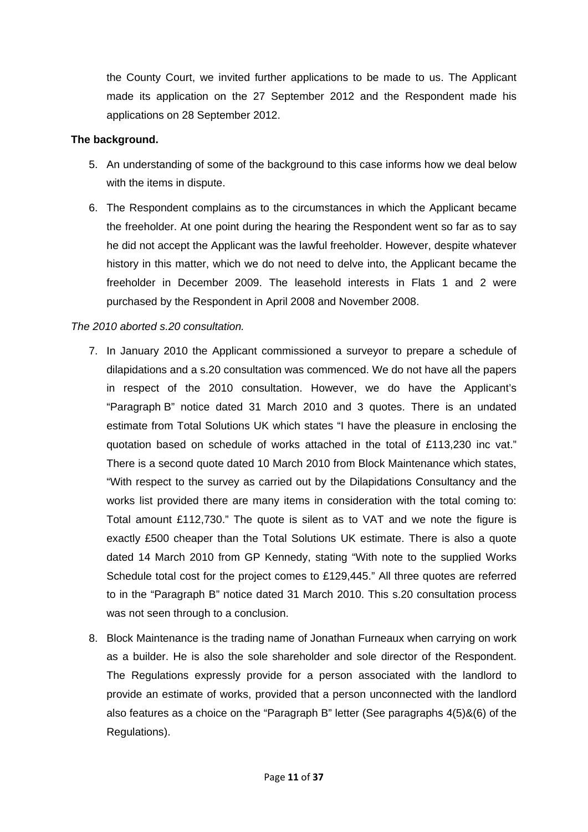the County Court, we invited further applications to be made to us. The Applicant made its application on the 27 September 2012 and the Respondent made his applications on 28 September 2012.

### **The background.**

- 5. An understanding of some of the background to this case informs how we deal below with the items in dispute.
- 6. The Respondent complains as to the circumstances in which the Applicant became the freeholder. At one point during the hearing the Respondent went so far as to say he did not accept the Applicant was the lawful freeholder. However, despite whatever history in this matter, which we do not need to delve into, the Applicant became the freeholder in December 2009. The leasehold interests in Flats 1 and 2 were purchased by the Respondent in April 2008 and November 2008.

## *The 2010 aborted s.20 consultation.*

- 7. In January 2010 the Applicant commissioned a surveyor to prepare a schedule of dilapidations and a s.20 consultation was commenced. We do not have all the papers in respect of the 2010 consultation. However, we do have the Applicant's "Paragraph B" notice dated 31 March 2010 and 3 quotes. There is an undated estimate from Total Solutions UK which states "I have the pleasure in enclosing the quotation based on schedule of works attached in the total of £113,230 inc vat." There is a second quote dated 10 March 2010 from Block Maintenance which states, "With respect to the survey as carried out by the Dilapidations Consultancy and the works list provided there are many items in consideration with the total coming to: Total amount £112,730." The quote is silent as to VAT and we note the figure is exactly £500 cheaper than the Total Solutions UK estimate. There is also a quote dated 14 March 2010 from GP Kennedy, stating "With note to the supplied Works Schedule total cost for the project comes to £129,445." All three quotes are referred to in the "Paragraph B" notice dated 31 March 2010. This s.20 consultation process was not seen through to a conclusion.
- 8. Block Maintenance is the trading name of Jonathan Furneaux when carrying on work as a builder. He is also the sole shareholder and sole director of the Respondent. The Regulations expressly provide for a person associated with the landlord to provide an estimate of works, provided that a person unconnected with the landlord also features as a choice on the "Paragraph B" letter (See paragraphs 4(5)&(6) of the Regulations).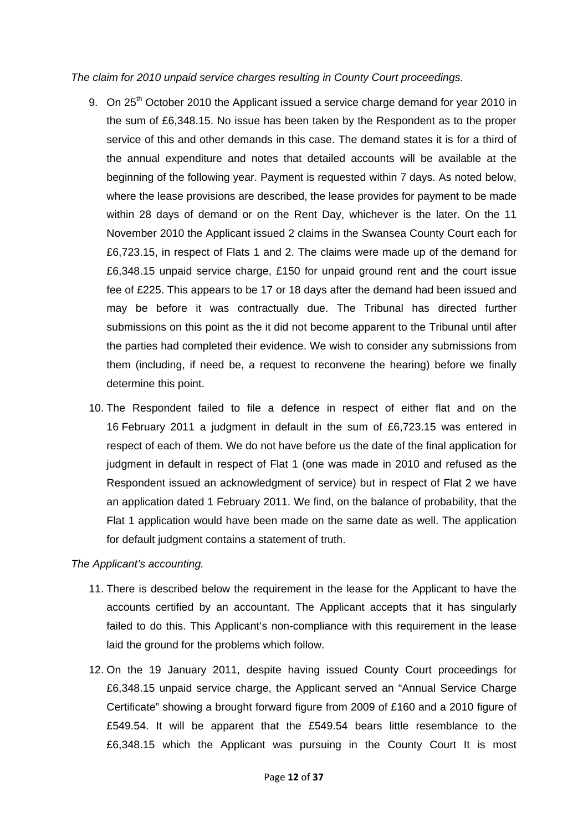*The claim for 2010 unpaid service charges resulting in County Court proceedings.* 

- 9. On 25<sup>th</sup> October 2010 the Applicant issued a service charge demand for year 2010 in the sum of £6,348.15. No issue has been taken by the Respondent as to the proper service of this and other demands in this case. The demand states it is for a third of the annual expenditure and notes that detailed accounts will be available at the beginning of the following year. Payment is requested within 7 days. As noted below, where the lease provisions are described, the lease provides for payment to be made within 28 days of demand or on the Rent Day, whichever is the later. On the 11 November 2010 the Applicant issued 2 claims in the Swansea County Court each for £6,723.15, in respect of Flats 1 and 2. The claims were made up of the demand for £6,348.15 unpaid service charge, £150 for unpaid ground rent and the court issue fee of £225. This appears to be 17 or 18 days after the demand had been issued and may be before it was contractually due. The Tribunal has directed further submissions on this point as the it did not become apparent to the Tribunal until after the parties had completed their evidence. We wish to consider any submissions from them (including, if need be, a request to reconvene the hearing) before we finally determine this point.
- 10. The Respondent failed to file a defence in respect of either flat and on the 16 February 2011 a judgment in default in the sum of £6,723.15 was entered in respect of each of them. We do not have before us the date of the final application for judgment in default in respect of Flat 1 (one was made in 2010 and refused as the Respondent issued an acknowledgment of service) but in respect of Flat 2 we have an application dated 1 February 2011. We find, on the balance of probability, that the Flat 1 application would have been made on the same date as well. The application for default judgment contains a statement of truth.

*The Applicant's accounting.* 

- 11. There is described below the requirement in the lease for the Applicant to have the accounts certified by an accountant. The Applicant accepts that it has singularly failed to do this. This Applicant's non-compliance with this requirement in the lease laid the ground for the problems which follow.
- 12. On the 19 January 2011, despite having issued County Court proceedings for £6,348.15 unpaid service charge, the Applicant served an "Annual Service Charge Certificate" showing a brought forward figure from 2009 of £160 and a 2010 figure of £549.54. It will be apparent that the £549.54 bears little resemblance to the £6,348.15 which the Applicant was pursuing in the County Court It is most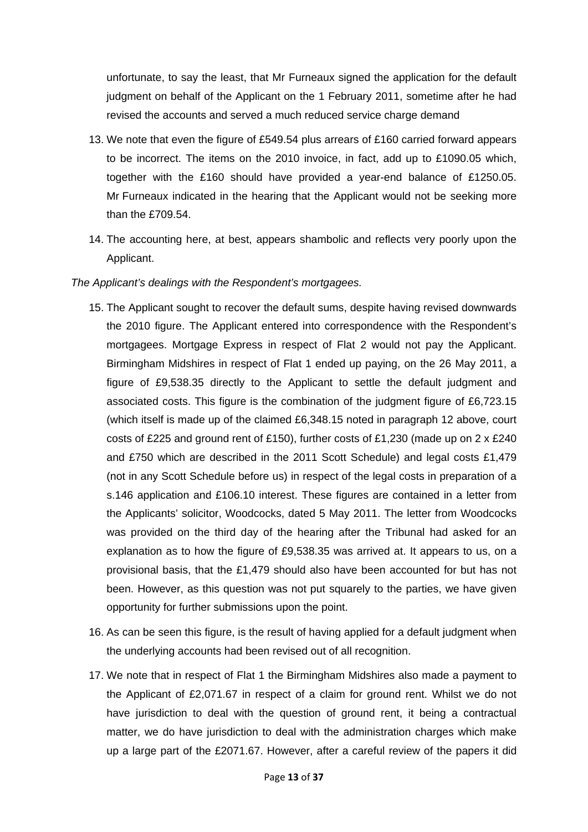unfortunate, to say the least, that Mr Furneaux signed the application for the default judgment on behalf of the Applicant on the 1 February 2011, sometime after he had revised the accounts and served a much reduced service charge demand

- 13. We note that even the figure of £549.54 plus arrears of £160 carried forward appears to be incorrect. The items on the 2010 invoice, in fact, add up to £1090.05 which, together with the £160 should have provided a year-end balance of £1250.05. Mr Furneaux indicated in the hearing that the Applicant would not be seeking more than the £709.54.
- 14. The accounting here, at best, appears shambolic and reflects very poorly upon the Applicant.

### *The Applicant's dealings with the Respondent's mortgagees.*

- 15. The Applicant sought to recover the default sums, despite having revised downwards the 2010 figure. The Applicant entered into correspondence with the Respondent's mortgagees. Mortgage Express in respect of Flat 2 would not pay the Applicant. Birmingham Midshires in respect of Flat 1 ended up paying, on the 26 May 2011, a figure of £9,538.35 directly to the Applicant to settle the default judgment and associated costs. This figure is the combination of the judgment figure of £6,723.15 (which itself is made up of the claimed £6,348.15 noted in paragraph 12 above, court costs of £225 and ground rent of £150), further costs of £1,230 (made up on  $2 \times \text{\textsterling}240$ and £750 which are described in the 2011 Scott Schedule) and legal costs £1,479 (not in any Scott Schedule before us) in respect of the legal costs in preparation of a s.146 application and £106.10 interest. These figures are contained in a letter from the Applicants' solicitor, Woodcocks, dated 5 May 2011. The letter from Woodcocks was provided on the third day of the hearing after the Tribunal had asked for an explanation as to how the figure of £9,538.35 was arrived at. It appears to us, on a provisional basis, that the £1,479 should also have been accounted for but has not been. However, as this question was not put squarely to the parties, we have given opportunity for further submissions upon the point.
- 16. As can be seen this figure, is the result of having applied for a default judgment when the underlying accounts had been revised out of all recognition.
- 17. We note that in respect of Flat 1 the Birmingham Midshires also made a payment to the Applicant of £2,071.67 in respect of a claim for ground rent. Whilst we do not have jurisdiction to deal with the question of ground rent, it being a contractual matter, we do have jurisdiction to deal with the administration charges which make up a large part of the £2071.67. However, after a careful review of the papers it did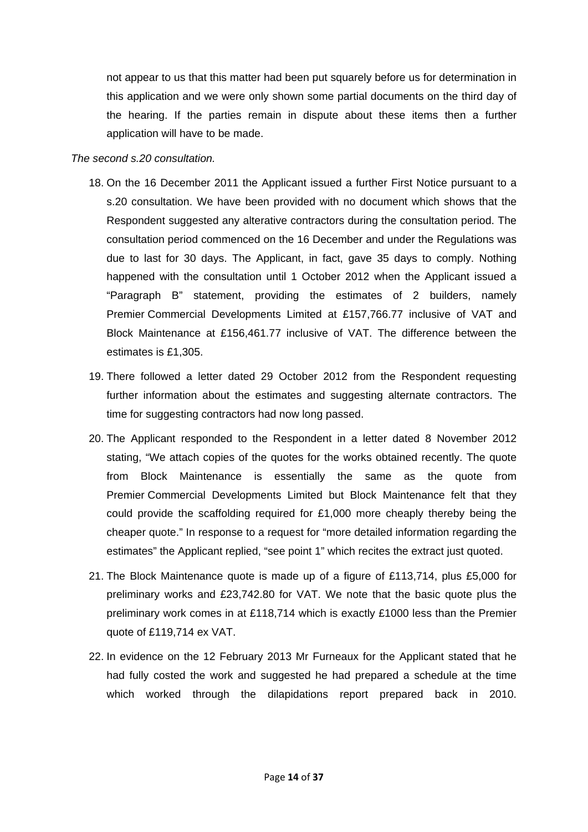not appear to us that this matter had been put squarely before us for determination in this application and we were only shown some partial documents on the third day of the hearing. If the parties remain in dispute about these items then a further application will have to be made.

#### *The second s.20 consultation.*

- 18. On the 16 December 2011 the Applicant issued a further First Notice pursuant to a s.20 consultation. We have been provided with no document which shows that the Respondent suggested any alterative contractors during the consultation period. The consultation period commenced on the 16 December and under the Regulations was due to last for 30 days. The Applicant, in fact, gave 35 days to comply. Nothing happened with the consultation until 1 October 2012 when the Applicant issued a "Paragraph B" statement, providing the estimates of 2 builders, namely Premier Commercial Developments Limited at £157,766.77 inclusive of VAT and Block Maintenance at £156,461.77 inclusive of VAT. The difference between the estimates is £1,305.
- 19. There followed a letter dated 29 October 2012 from the Respondent requesting further information about the estimates and suggesting alternate contractors. The time for suggesting contractors had now long passed.
- 20. The Applicant responded to the Respondent in a letter dated 8 November 2012 stating, "We attach copies of the quotes for the works obtained recently. The quote from Block Maintenance is essentially the same as the quote from Premier Commercial Developments Limited but Block Maintenance felt that they could provide the scaffolding required for £1,000 more cheaply thereby being the cheaper quote." In response to a request for "more detailed information regarding the estimates" the Applicant replied, "see point 1" which recites the extract just quoted.
- 21. The Block Maintenance quote is made up of a figure of £113,714, plus £5,000 for preliminary works and £23,742.80 for VAT. We note that the basic quote plus the preliminary work comes in at £118,714 which is exactly £1000 less than the Premier quote of £119,714 ex VAT.
- 22. In evidence on the 12 February 2013 Mr Furneaux for the Applicant stated that he had fully costed the work and suggested he had prepared a schedule at the time which worked through the dilapidations report prepared back in 2010.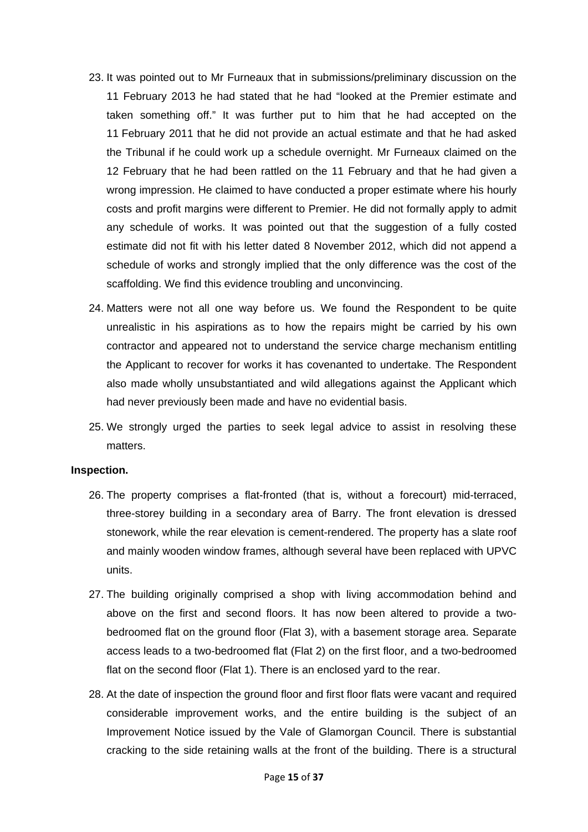- 23. It was pointed out to Mr Furneaux that in submissions/preliminary discussion on the 11 February 2013 he had stated that he had "looked at the Premier estimate and taken something off." It was further put to him that he had accepted on the 11 February 2011 that he did not provide an actual estimate and that he had asked the Tribunal if he could work up a schedule overnight. Mr Furneaux claimed on the 12 February that he had been rattled on the 11 February and that he had given a wrong impression. He claimed to have conducted a proper estimate where his hourly costs and profit margins were different to Premier. He did not formally apply to admit any schedule of works. It was pointed out that the suggestion of a fully costed estimate did not fit with his letter dated 8 November 2012, which did not append a schedule of works and strongly implied that the only difference was the cost of the scaffolding. We find this evidence troubling and unconvincing.
- 24. Matters were not all one way before us. We found the Respondent to be quite unrealistic in his aspirations as to how the repairs might be carried by his own contractor and appeared not to understand the service charge mechanism entitling the Applicant to recover for works it has covenanted to undertake. The Respondent also made wholly unsubstantiated and wild allegations against the Applicant which had never previously been made and have no evidential basis.
- 25. We strongly urged the parties to seek legal advice to assist in resolving these matters.

#### **Inspection.**

- 26. The property comprises a flat-fronted (that is, without a forecourt) mid-terraced, three-storey building in a secondary area of Barry. The front elevation is dressed stonework, while the rear elevation is cement-rendered. The property has a slate roof and mainly wooden window frames, although several have been replaced with UPVC units.
- 27. The building originally comprised a shop with living accommodation behind and above on the first and second floors. It has now been altered to provide a twobedroomed flat on the ground floor (Flat 3), with a basement storage area. Separate access leads to a two-bedroomed flat (Flat 2) on the first floor, and a two-bedroomed flat on the second floor (Flat 1). There is an enclosed yard to the rear.
- 28. At the date of inspection the ground floor and first floor flats were vacant and required considerable improvement works, and the entire building is the subject of an Improvement Notice issued by the Vale of Glamorgan Council. There is substantial cracking to the side retaining walls at the front of the building. There is a structural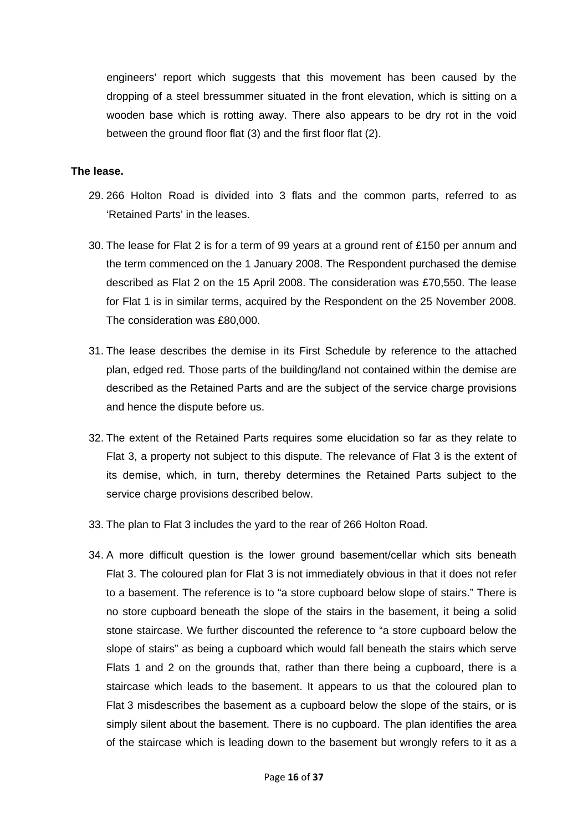engineers' report which suggests that this movement has been caused by the dropping of a steel bressummer situated in the front elevation, which is sitting on a wooden base which is rotting away. There also appears to be dry rot in the void between the ground floor flat (3) and the first floor flat (2).

#### **The lease.**

- 29. 266 Holton Road is divided into 3 flats and the common parts, referred to as 'Retained Parts' in the leases.
- 30. The lease for Flat 2 is for a term of 99 years at a ground rent of £150 per annum and the term commenced on the 1 January 2008. The Respondent purchased the demise described as Flat 2 on the 15 April 2008. The consideration was £70,550. The lease for Flat 1 is in similar terms, acquired by the Respondent on the 25 November 2008. The consideration was £80,000.
- 31. The lease describes the demise in its First Schedule by reference to the attached plan, edged red. Those parts of the building/land not contained within the demise are described as the Retained Parts and are the subject of the service charge provisions and hence the dispute before us.
- 32. The extent of the Retained Parts requires some elucidation so far as they relate to Flat 3, a property not subject to this dispute. The relevance of Flat 3 is the extent of its demise, which, in turn, thereby determines the Retained Parts subject to the service charge provisions described below.
- 33. The plan to Flat 3 includes the yard to the rear of 266 Holton Road.
- 34. A more difficult question is the lower ground basement/cellar which sits beneath Flat 3. The coloured plan for Flat 3 is not immediately obvious in that it does not refer to a basement. The reference is to "a store cupboard below slope of stairs." There is no store cupboard beneath the slope of the stairs in the basement, it being a solid stone staircase. We further discounted the reference to "a store cupboard below the slope of stairs" as being a cupboard which would fall beneath the stairs which serve Flats 1 and 2 on the grounds that, rather than there being a cupboard, there is a staircase which leads to the basement. It appears to us that the coloured plan to Flat 3 misdescribes the basement as a cupboard below the slope of the stairs, or is simply silent about the basement. There is no cupboard. The plan identifies the area of the staircase which is leading down to the basement but wrongly refers to it as a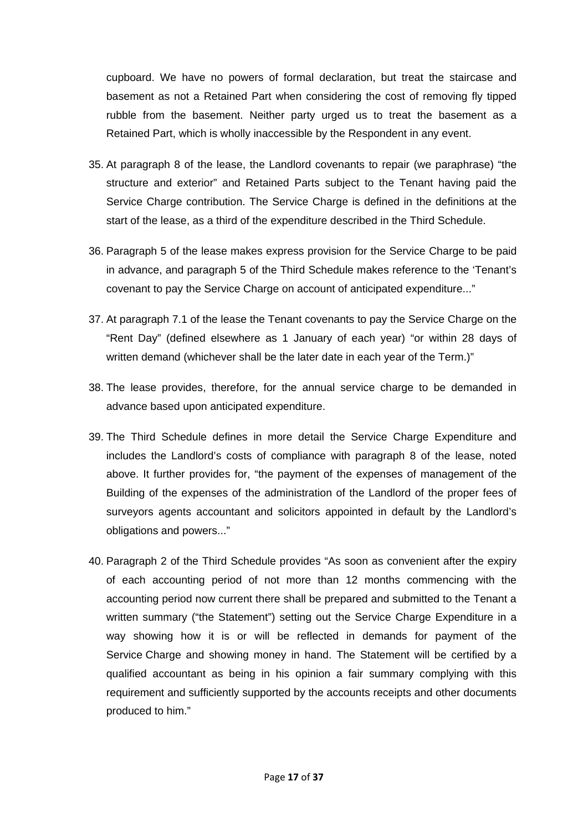cupboard. We have no powers of formal declaration, but treat the staircase and basement as not a Retained Part when considering the cost of removing fly tipped rubble from the basement. Neither party urged us to treat the basement as a Retained Part, which is wholly inaccessible by the Respondent in any event.

- 35. At paragraph 8 of the lease, the Landlord covenants to repair (we paraphrase) "the structure and exterior" and Retained Parts subject to the Tenant having paid the Service Charge contribution. The Service Charge is defined in the definitions at the start of the lease, as a third of the expenditure described in the Third Schedule.
- 36. Paragraph 5 of the lease makes express provision for the Service Charge to be paid in advance, and paragraph 5 of the Third Schedule makes reference to the 'Tenant's covenant to pay the Service Charge on account of anticipated expenditure..."
- 37. At paragraph 7.1 of the lease the Tenant covenants to pay the Service Charge on the "Rent Day" (defined elsewhere as 1 January of each year) "or within 28 days of written demand (whichever shall be the later date in each year of the Term.)"
- 38. The lease provides, therefore, for the annual service charge to be demanded in advance based upon anticipated expenditure.
- 39. The Third Schedule defines in more detail the Service Charge Expenditure and includes the Landlord's costs of compliance with paragraph 8 of the lease, noted above. It further provides for, "the payment of the expenses of management of the Building of the expenses of the administration of the Landlord of the proper fees of surveyors agents accountant and solicitors appointed in default by the Landlord's obligations and powers..."
- 40. Paragraph 2 of the Third Schedule provides "As soon as convenient after the expiry of each accounting period of not more than 12 months commencing with the accounting period now current there shall be prepared and submitted to the Tenant a written summary ("the Statement") setting out the Service Charge Expenditure in a way showing how it is or will be reflected in demands for payment of the Service Charge and showing money in hand. The Statement will be certified by a qualified accountant as being in his opinion a fair summary complying with this requirement and sufficiently supported by the accounts receipts and other documents produced to him."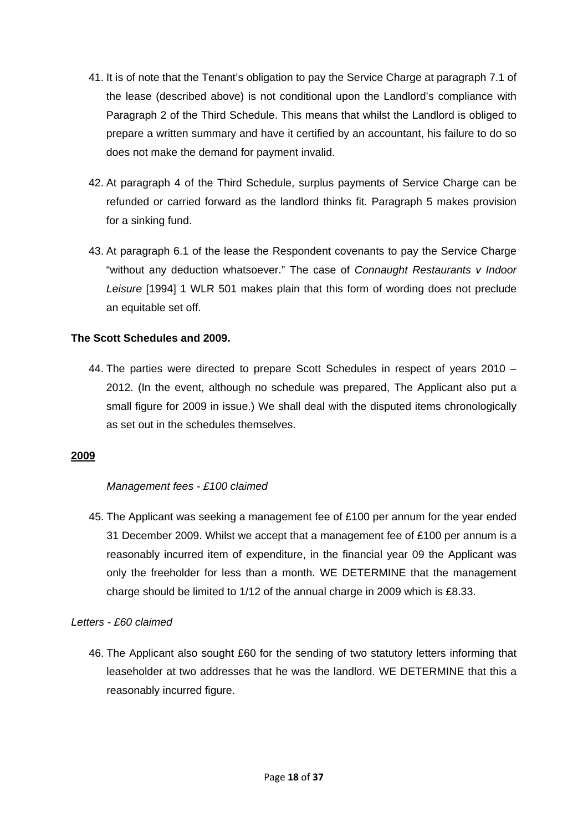- 41. It is of note that the Tenant's obligation to pay the Service Charge at paragraph 7.1 of the lease (described above) is not conditional upon the Landlord's compliance with Paragraph 2 of the Third Schedule. This means that whilst the Landlord is obliged to prepare a written summary and have it certified by an accountant, his failure to do so does not make the demand for payment invalid.
- 42. At paragraph 4 of the Third Schedule, surplus payments of Service Charge can be refunded or carried forward as the landlord thinks fit. Paragraph 5 makes provision for a sinking fund.
- 43. At paragraph 6.1 of the lease the Respondent covenants to pay the Service Charge "without any deduction whatsoever." The case of *Connaught Restaurants v Indoor Leisure* [1994] 1 WLR 501 makes plain that this form of wording does not preclude an equitable set off.

## **The Scott Schedules and 2009.**

44. The parties were directed to prepare Scott Schedules in respect of years 2010 – 2012. (In the event, although no schedule was prepared, The Applicant also put a small figure for 2009 in issue.) We shall deal with the disputed items chronologically as set out in the schedules themselves.

#### **2009**

## *Management fees - £100 claimed*

45. The Applicant was seeking a management fee of £100 per annum for the year ended 31 December 2009. Whilst we accept that a management fee of  $£100$  per annum is a reasonably incurred item of expenditure, in the financial year 09 the Applicant was only the freeholder for less than a month. WE DETERMINE that the management charge should be limited to 1/12 of the annual charge in 2009 which is £8.33.

## *Letters - £60 claimed*

46. The Applicant also sought £60 for the sending of two statutory letters informing that leaseholder at two addresses that he was the landlord. WE DETERMINE that this a reasonably incurred figure.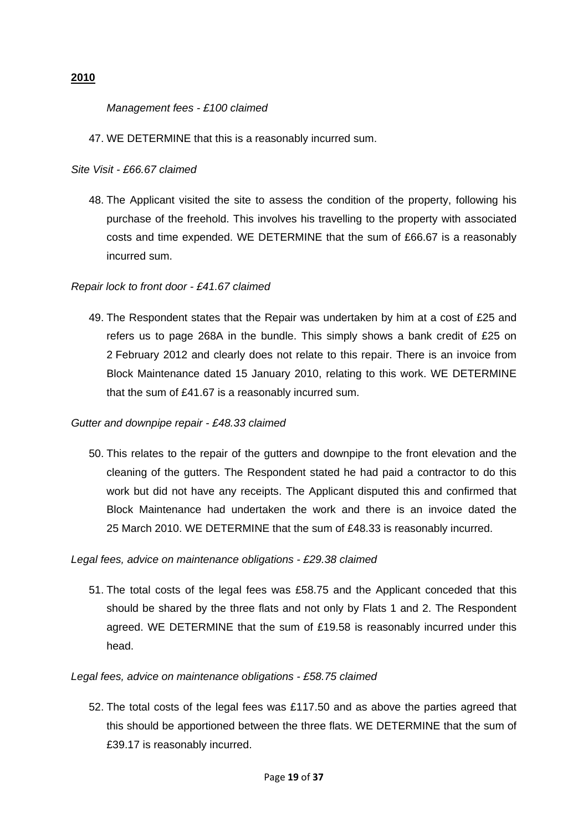#### **2010**

#### *Management fees - £100 claimed*

#### 47. WE DETERMINE that this is a reasonably incurred sum.

#### *Site Visit - £66.67 claimed*

48. The Applicant visited the site to assess the condition of the property, following his purchase of the freehold. This involves his travelling to the property with associated costs and time expended. WE DETERMINE that the sum of £66.67 is a reasonably incurred sum.

#### *Repair lock to front door - £41.67 claimed*

49. The Respondent states that the Repair was undertaken by him at a cost of £25 and refers us to page 268A in the bundle. This simply shows a bank credit of £25 on 2 February 2012 and clearly does not relate to this repair. There is an invoice from Block Maintenance dated 15 January 2010, relating to this work. WE DETERMINE that the sum of £41.67 is a reasonably incurred sum.

#### *Gutter and downpipe repair - £48.33 claimed*

50. This relates to the repair of the gutters and downpipe to the front elevation and the cleaning of the gutters. The Respondent stated he had paid a contractor to do this work but did not have any receipts. The Applicant disputed this and confirmed that Block Maintenance had undertaken the work and there is an invoice dated the 25 March 2010. WE DETERMINE that the sum of £48.33 is reasonably incurred.

#### *Legal fees, advice on maintenance obligations - £29.38 claimed*

51. The total costs of the legal fees was £58.75 and the Applicant conceded that this should be shared by the three flats and not only by Flats 1 and 2. The Respondent agreed. WE DETERMINE that the sum of £19.58 is reasonably incurred under this head.

#### *Legal fees, advice on maintenance obligations - £58.75 claimed*

52. The total costs of the legal fees was £117.50 and as above the parties agreed that this should be apportioned between the three flats. WE DETERMINE that the sum of £39.17 is reasonably incurred.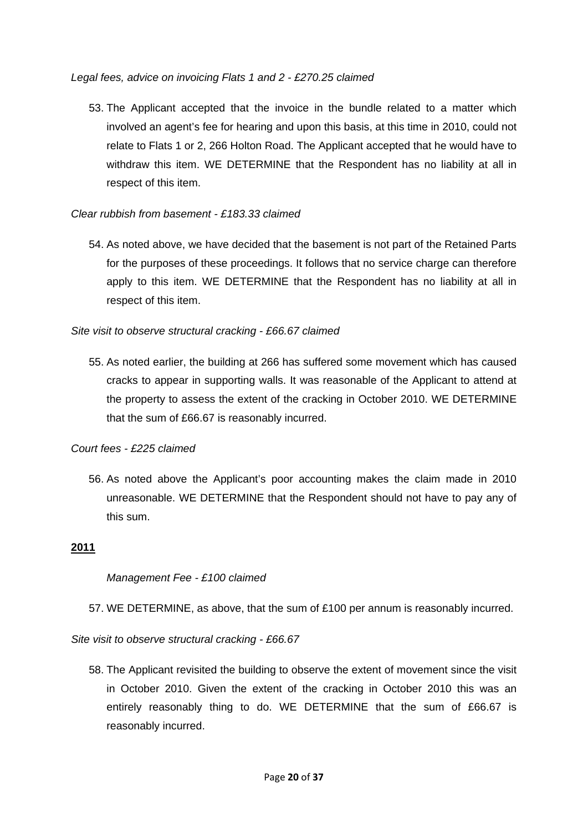#### *Legal fees, advice on invoicing Flats 1 and 2 - £270.25 claimed*

53. The Applicant accepted that the invoice in the bundle related to a matter which involved an agent's fee for hearing and upon this basis, at this time in 2010, could not relate to Flats 1 or 2, 266 Holton Road. The Applicant accepted that he would have to withdraw this item. WE DETERMINE that the Respondent has no liability at all in respect of this item.

## *Clear rubbish from basement - £183.33 claimed*

54. As noted above, we have decided that the basement is not part of the Retained Parts for the purposes of these proceedings. It follows that no service charge can therefore apply to this item. WE DETERMINE that the Respondent has no liability at all in respect of this item.

## *Site visit to observe structural cracking - £66.67 claimed*

55. As noted earlier, the building at 266 has suffered some movement which has caused cracks to appear in supporting walls. It was reasonable of the Applicant to attend at the property to assess the extent of the cracking in October 2010. WE DETERMINE that the sum of £66.67 is reasonably incurred.

## *Court fees - £225 claimed*

56. As noted above the Applicant's poor accounting makes the claim made in 2010 unreasonable. WE DETERMINE that the Respondent should not have to pay any of this sum.

## **2011**

## *Management Fee - £100 claimed*

57. WE DETERMINE, as above, that the sum of £100 per annum is reasonably incurred.

*Site visit to observe structural cracking - £66.67* 

58. The Applicant revisited the building to observe the extent of movement since the visit in October 2010. Given the extent of the cracking in October 2010 this was an entirely reasonably thing to do. WE DETERMINE that the sum of £66.67 is reasonably incurred.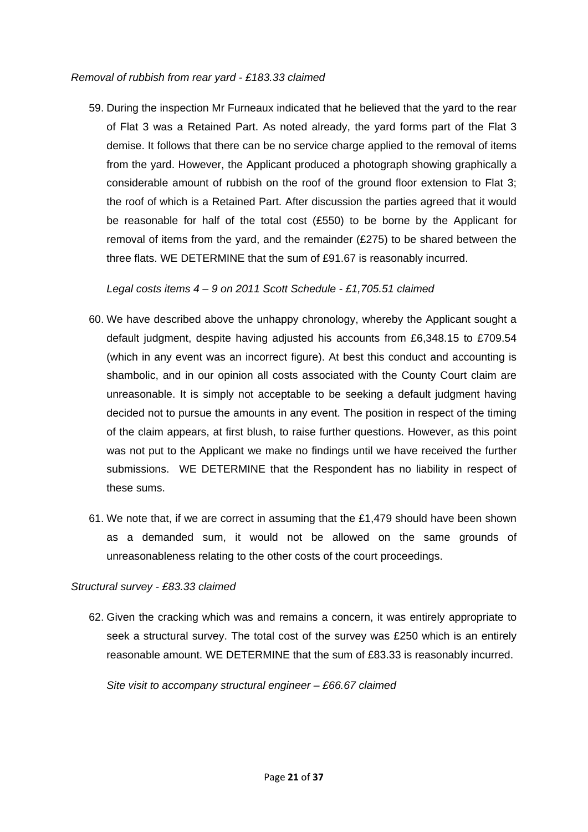#### *Removal of rubbish from rear yard - £183.33 claimed*

59. During the inspection Mr Furneaux indicated that he believed that the yard to the rear of Flat 3 was a Retained Part. As noted already, the yard forms part of the Flat 3 demise. It follows that there can be no service charge applied to the removal of items from the yard. However, the Applicant produced a photograph showing graphically a considerable amount of rubbish on the roof of the ground floor extension to Flat 3; the roof of which is a Retained Part. After discussion the parties agreed that it would be reasonable for half of the total cost (£550) to be borne by the Applicant for removal of items from the yard, and the remainder (£275) to be shared between the three flats. WE DETERMINE that the sum of £91.67 is reasonably incurred.

*Legal costs items 4 – 9 on 2011 Scott Schedule - £1,705.51 claimed*

- 60. We have described above the unhappy chronology, whereby the Applicant sought a default judgment, despite having adjusted his accounts from £6,348.15 to £709.54 (which in any event was an incorrect figure). At best this conduct and accounting is shambolic, and in our opinion all costs associated with the County Court claim are unreasonable. It is simply not acceptable to be seeking a default judgment having decided not to pursue the amounts in any event. The position in respect of the timing of the claim appears, at first blush, to raise further questions. However, as this point was not put to the Applicant we make no findings until we have received the further submissions. WE DETERMINE that the Respondent has no liability in respect of these sums.
- 61. We note that, if we are correct in assuming that the £1,479 should have been shown as a demanded sum, it would not be allowed on the same grounds of unreasonableness relating to the other costs of the court proceedings.

## *Structural survey* - *£83.33 claimed*

62. Given the cracking which was and remains a concern, it was entirely appropriate to seek a structural survey. The total cost of the survey was £250 which is an entirely reasonable amount. WE DETERMINE that the sum of £83.33 is reasonably incurred.

*Site visit to accompany structural engineer – £66.67 claimed*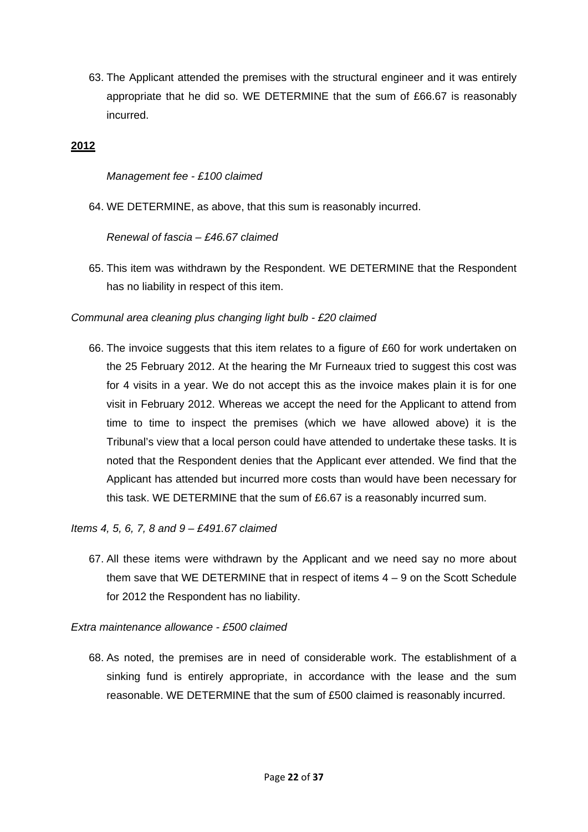63. The Applicant attended the premises with the structural engineer and it was entirely appropriate that he did so. WE DETERMINE that the sum of £66.67 is reasonably incurred.

### **2012**

*Management fee - £100 claimed* 

64. WE DETERMINE, as above, that this sum is reasonably incurred.

*Renewal of fascia – £46.67 claimed*

65. This item was withdrawn by the Respondent. WE DETERMINE that the Respondent has no liability in respect of this item.

### *Communal area cleaning plus changing light bulb - £20 claimed*

66. The invoice suggests that this item relates to a figure of £60 for work undertaken on the 25 February 2012. At the hearing the Mr Furneaux tried to suggest this cost was for 4 visits in a year. We do not accept this as the invoice makes plain it is for one visit in February 2012. Whereas we accept the need for the Applicant to attend from time to time to inspect the premises (which we have allowed above) it is the Tribunal's view that a local person could have attended to undertake these tasks. It is noted that the Respondent denies that the Applicant ever attended. We find that the Applicant has attended but incurred more costs than would have been necessary for this task. WE DETERMINE that the sum of £6.67 is a reasonably incurred sum.

#### *Items 4, 5, 6, 7, 8 and 9 – £491.67 claimed*

67. All these items were withdrawn by the Applicant and we need say no more about them save that WE DETERMINE that in respect of items  $4 - 9$  on the Scott Schedule for 2012 the Respondent has no liability.

*Extra maintenance allowance - £500 claimed* 

68. As noted, the premises are in need of considerable work. The establishment of a sinking fund is entirely appropriate, in accordance with the lease and the sum reasonable. WE DETERMINE that the sum of £500 claimed is reasonably incurred.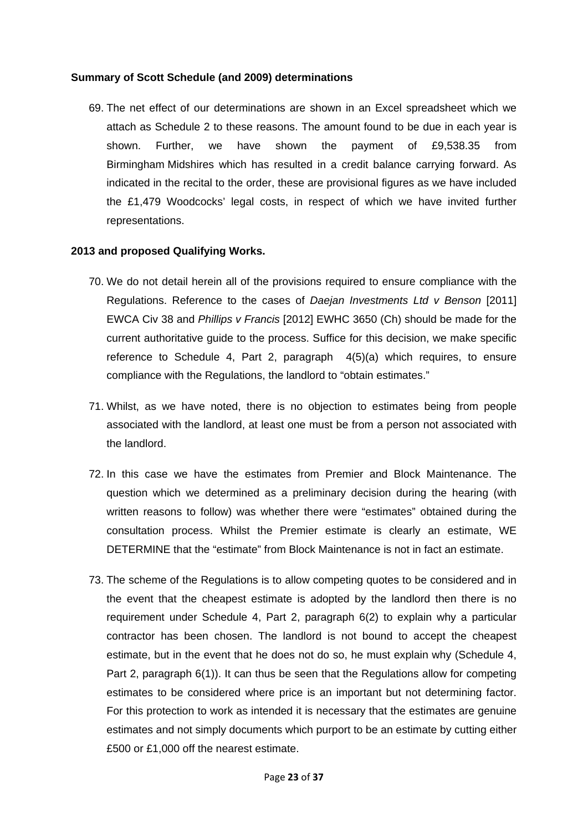#### **Summary of Scott Schedule (and 2009) determinations**

69. The net effect of our determinations are shown in an Excel spreadsheet which we attach as Schedule 2 to these reasons. The amount found to be due in each year is shown. Further, we have shown the payment of £9,538.35 from Birmingham Midshires which has resulted in a credit balance carrying forward. As indicated in the recital to the order, these are provisional figures as we have included the £1,479 Woodcocks' legal costs, in respect of which we have invited further representations.

### **2013 and proposed Qualifying Works.**

- 70. We do not detail herein all of the provisions required to ensure compliance with the Regulations. Reference to the cases of *Daejan Investments Ltd v Benson* [2011] EWCA Civ 38 and *Phillips v Francis* [2012] EWHC 3650 (Ch) should be made for the current authoritative guide to the process. Suffice for this decision, we make specific reference to Schedule 4, Part 2, paragraph 4(5)(a) which requires, to ensure compliance with the Regulations, the landlord to "obtain estimates."
- 71. Whilst, as we have noted, there is no objection to estimates being from people associated with the landlord, at least one must be from a person not associated with the landlord.
- 72. In this case we have the estimates from Premier and Block Maintenance. The question which we determined as a preliminary decision during the hearing (with written reasons to follow) was whether there were "estimates" obtained during the consultation process. Whilst the Premier estimate is clearly an estimate, WE DETERMINE that the "estimate" from Block Maintenance is not in fact an estimate.
- 73. The scheme of the Regulations is to allow competing quotes to be considered and in the event that the cheapest estimate is adopted by the landlord then there is no requirement under Schedule 4, Part 2, paragraph 6(2) to explain why a particular contractor has been chosen. The landlord is not bound to accept the cheapest estimate, but in the event that he does not do so, he must explain why (Schedule 4, Part 2, paragraph 6(1)). It can thus be seen that the Regulations allow for competing estimates to be considered where price is an important but not determining factor. For this protection to work as intended it is necessary that the estimates are genuine estimates and not simply documents which purport to be an estimate by cutting either £500 or £1,000 off the nearest estimate.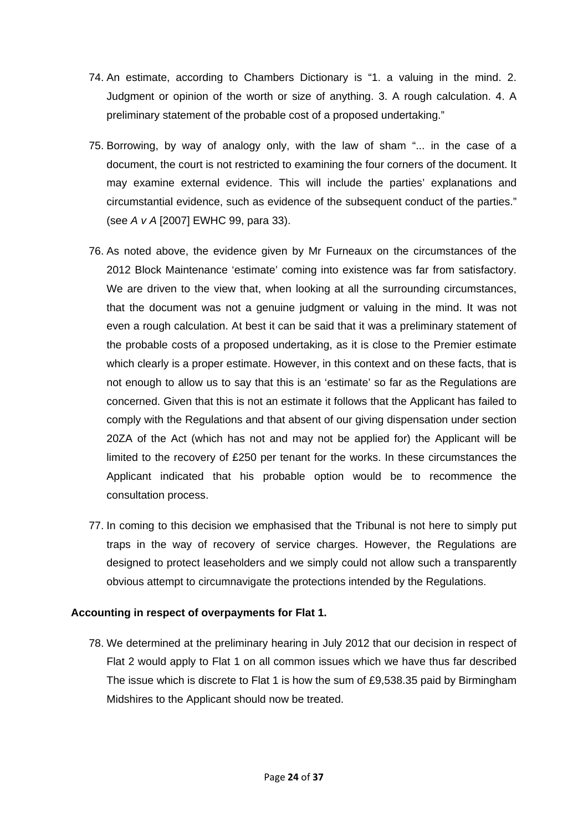- 74. An estimate, according to Chambers Dictionary is "1. a valuing in the mind. 2. Judgment or opinion of the worth or size of anything. 3. A rough calculation. 4. A preliminary statement of the probable cost of a proposed undertaking."
- 75. Borrowing, by way of analogy only, with the law of sham "... in the case of a document, the court is not restricted to examining the four corners of the document. It may examine external evidence. This will include the parties' explanations and circumstantial evidence, such as evidence of the subsequent conduct of the parties." (see *A v A* [2007] EWHC 99, para 33).
- 76. As noted above, the evidence given by Mr Furneaux on the circumstances of the 2012 Block Maintenance 'estimate' coming into existence was far from satisfactory. We are driven to the view that, when looking at all the surrounding circumstances, that the document was not a genuine judgment or valuing in the mind. It was not even a rough calculation. At best it can be said that it was a preliminary statement of the probable costs of a proposed undertaking, as it is close to the Premier estimate which clearly is a proper estimate. However, in this context and on these facts, that is not enough to allow us to say that this is an 'estimate' so far as the Regulations are concerned. Given that this is not an estimate it follows that the Applicant has failed to comply with the Regulations and that absent of our giving dispensation under section 20ZA of the Act (which has not and may not be applied for) the Applicant will be limited to the recovery of £250 per tenant for the works. In these circumstances the Applicant indicated that his probable option would be to recommence the consultation process.
- 77. In coming to this decision we emphasised that the Tribunal is not here to simply put traps in the way of recovery of service charges. However, the Regulations are designed to protect leaseholders and we simply could not allow such a transparently obvious attempt to circumnavigate the protections intended by the Regulations.

## **Accounting in respect of overpayments for Flat 1.**

78. We determined at the preliminary hearing in July 2012 that our decision in respect of Flat 2 would apply to Flat 1 on all common issues which we have thus far described The issue which is discrete to Flat 1 is how the sum of £9,538.35 paid by Birmingham Midshires to the Applicant should now be treated.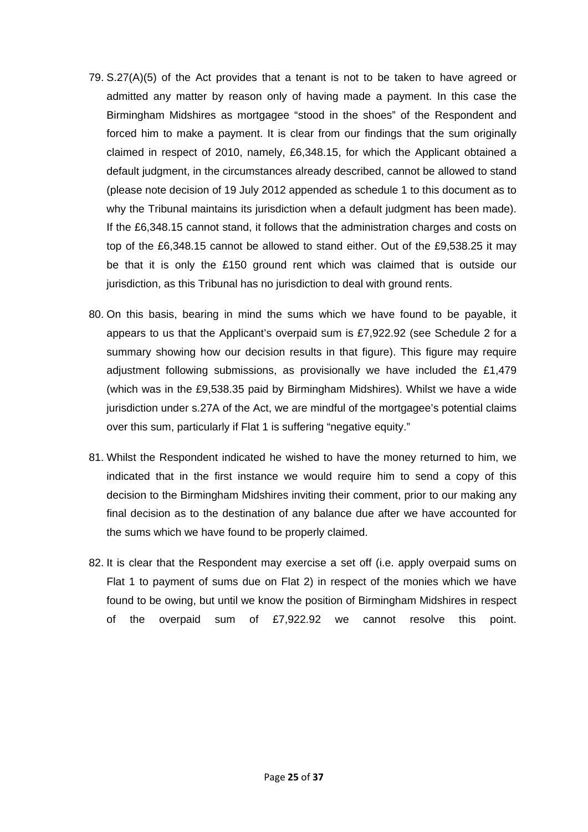- 79. S.27(A)(5) of the Act provides that a tenant is not to be taken to have agreed or admitted any matter by reason only of having made a payment. In this case the Birmingham Midshires as mortgagee "stood in the shoes" of the Respondent and forced him to make a payment. It is clear from our findings that the sum originally claimed in respect of 2010, namely, £6,348.15, for which the Applicant obtained a default judgment, in the circumstances already described, cannot be allowed to stand (please note decision of 19 July 2012 appended as schedule 1 to this document as to why the Tribunal maintains its jurisdiction when a default judgment has been made). If the £6,348.15 cannot stand, it follows that the administration charges and costs on top of the £6,348.15 cannot be allowed to stand either. Out of the £9,538.25 it may be that it is only the £150 ground rent which was claimed that is outside our jurisdiction, as this Tribunal has no jurisdiction to deal with ground rents.
- 80. On this basis, bearing in mind the sums which we have found to be payable, it appears to us that the Applicant's overpaid sum is £7,922.92 (see Schedule 2 for a summary showing how our decision results in that figure). This figure may require adjustment following submissions, as provisionally we have included the £1,479 (which was in the £9,538.35 paid by Birmingham Midshires). Whilst we have a wide jurisdiction under s.27A of the Act, we are mindful of the mortgagee's potential claims over this sum, particularly if Flat 1 is suffering "negative equity."
- 81. Whilst the Respondent indicated he wished to have the money returned to him, we indicated that in the first instance we would require him to send a copy of this decision to the Birmingham Midshires inviting their comment, prior to our making any final decision as to the destination of any balance due after we have accounted for the sums which we have found to be properly claimed.
- 82. It is clear that the Respondent may exercise a set off (i.e. apply overpaid sums on Flat 1 to payment of sums due on Flat 2) in respect of the monies which we have found to be owing, but until we know the position of Birmingham Midshires in respect of the overpaid sum of £7,922.92 we cannot resolve this point.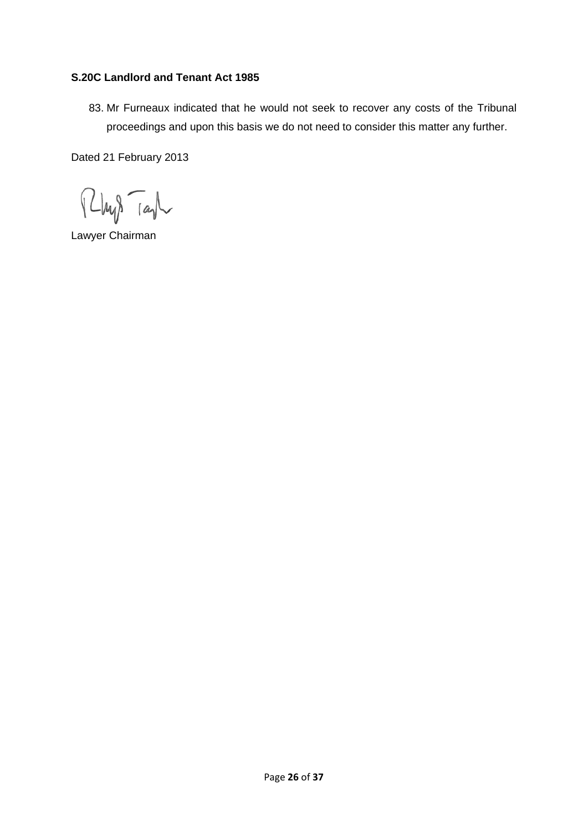## **S.20C Landlord and Tenant Act 1985**

83. Mr Furneaux indicated that he would not seek to recover any costs of the Tribunal proceedings and upon this basis we do not need to consider this matter any further.

Dated 21 February 2013

 $\sqrt{2}$  $L$ hy $\sqrt{a}$ 

Lawyer Chairman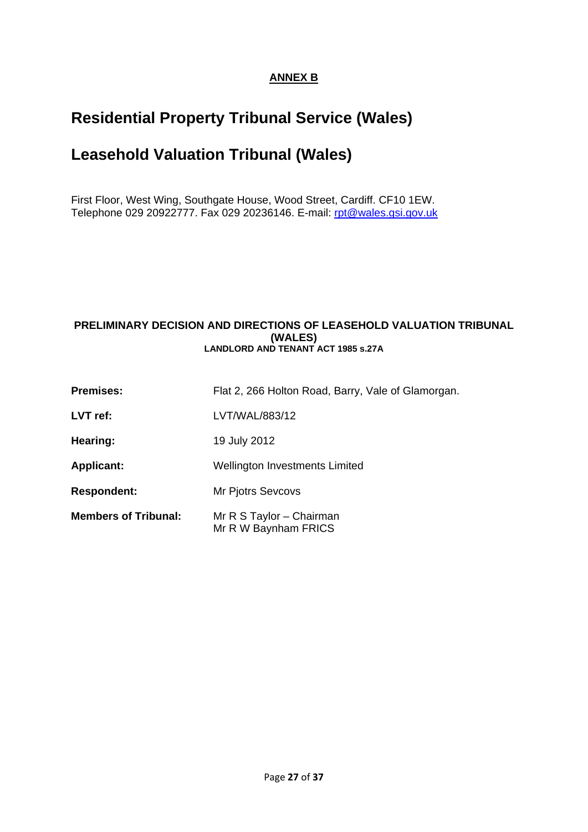## **ANNEX B**

# **Residential Property Tribunal Service (Wales)**

# **Leasehold Valuation Tribunal (Wales)**

First Floor, West Wing, Southgate House, Wood Street, Cardiff. CF10 1EW. Telephone 029 20922777. Fax 029 20236146. E-mail: [rpt@wales.gsi.gov.uk](mailto:rpt@wales.gsi.gov.uk)

#### **PRELIMINARY DECISION AND DIRECTIONS OF LEASEHOLD VALUATION TRIBUNAL (WALES) LANDLORD AND TENANT ACT 1985 s.27A**

| <b>Premises:</b>            | Flat 2, 266 Holton Road, Barry, Vale of Glamorgan. |
|-----------------------------|----------------------------------------------------|
| LVT ref:                    | LVT/WAL/883/12                                     |
| Hearing:                    | 19 July 2012                                       |
| <b>Applicant:</b>           | Wellington Investments Limited                     |
| <b>Respondent:</b>          | <b>Mr Pjotrs Sevcovs</b>                           |
| <b>Members of Tribunal:</b> | Mr R S Taylor - Chairman<br>Mr R W Baynham FRICS   |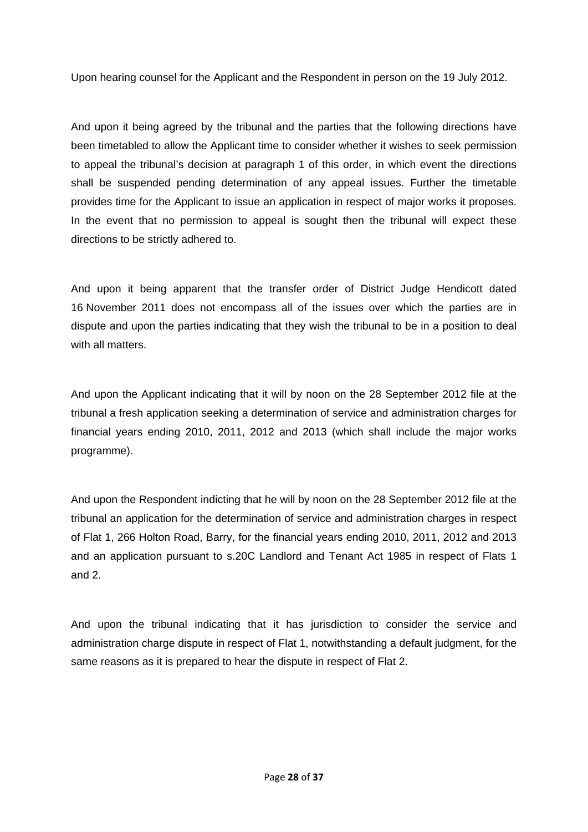Upon hearing counsel for the Applicant and the Respondent in person on the 19 July 2012.

And upon it being agreed by the tribunal and the parties that the following directions have been timetabled to allow the Applicant time to consider whether it wishes to seek permission to appeal the tribunal's decision at paragraph 1 of this order, in which event the directions shall be suspended pending determination of any appeal issues. Further the timetable provides time for the Applicant to issue an application in respect of major works it proposes. In the event that no permission to appeal is sought then the tribunal will expect these directions to be strictly adhered to.

And upon it being apparent that the transfer order of District Judge Hendicott dated 16 November 2011 does not encompass all of the issues over which the parties are in dispute and upon the parties indicating that they wish the tribunal to be in a position to deal with all matters.

And upon the Applicant indicating that it will by noon on the 28 September 2012 file at the tribunal a fresh application seeking a determination of service and administration charges for financial years ending 2010, 2011, 2012 and 2013 (which shall include the major works programme).

And upon the Respondent indicting that he will by noon on the 28 September 2012 file at the tribunal an application for the determination of service and administration charges in respect of Flat 1, 266 Holton Road, Barry, for the financial years ending 2010, 2011, 2012 and 2013 and an application pursuant to s.20C Landlord and Tenant Act 1985 in respect of Flats 1 and 2.

And upon the tribunal indicating that it has jurisdiction to consider the service and administration charge dispute in respect of Flat 1, notwithstanding a default judgment, for the same reasons as it is prepared to hear the dispute in respect of Flat 2.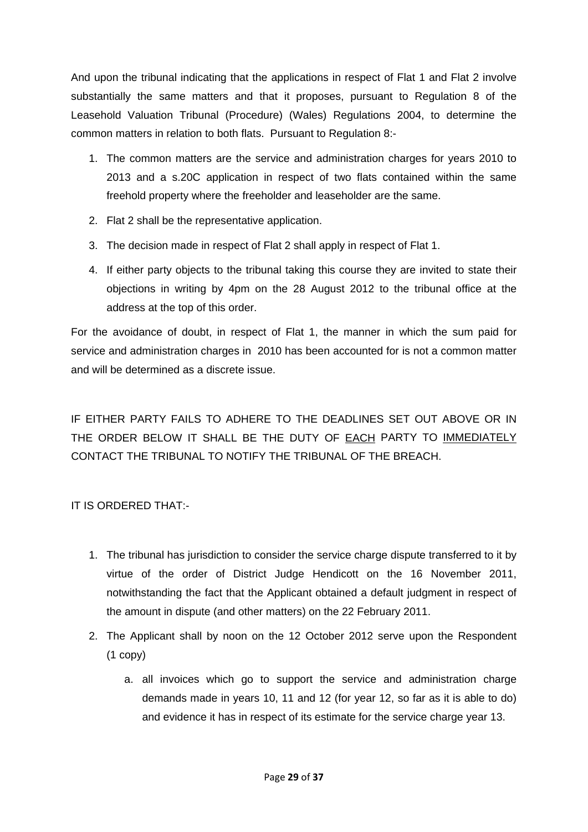And upon the tribunal indicating that the applications in respect of Flat 1 and Flat 2 involve substantially the same matters and that it proposes, pursuant to Regulation 8 of the Leasehold Valuation Tribunal (Procedure) (Wales) Regulations 2004, to determine the common matters in relation to both flats. Pursuant to Regulation 8:-

- 1. The common matters are the service and administration charges for years 2010 to 2013 and a s.20C application in respect of two flats contained within the same freehold property where the freeholder and leaseholder are the same.
- 2. Flat 2 shall be the representative application.
- 3. The decision made in respect of Flat 2 shall apply in respect of Flat 1.
- 4. If either party objects to the tribunal taking this course they are invited to state their objections in writing by 4pm on the 28 August 2012 to the tribunal office at the address at the top of this order.

For the avoidance of doubt, in respect of Flat 1, the manner in which the sum paid for service and administration charges in 2010 has been accounted for is not a common matter and will be determined as a discrete issue.

IF EITHER PARTY FAILS TO ADHERE TO THE DEADLINES SET OUT ABOVE OR IN THE ORDER BELOW IT SHALL BE THE DUTY OF EACH PARTY TO IMMEDIATELY CONTACT THE TRIBUNAL TO NOTIFY THE TRIBUNAL OF THE BREACH.

## IT IS ORDERED THAT:-

- 1. The tribunal has jurisdiction to consider the service charge dispute transferred to it by virtue of the order of District Judge Hendicott on the 16 November 2011, notwithstanding the fact that the Applicant obtained a default judgment in respect of the amount in dispute (and other matters) on the 22 February 2011.
- 2. The Applicant shall by noon on the 12 October 2012 serve upon the Respondent (1 copy)
	- a. all invoices which go to support the service and administration charge demands made in years 10, 11 and 12 (for year 12, so far as it is able to do) and evidence it has in respect of its estimate for the service charge year 13.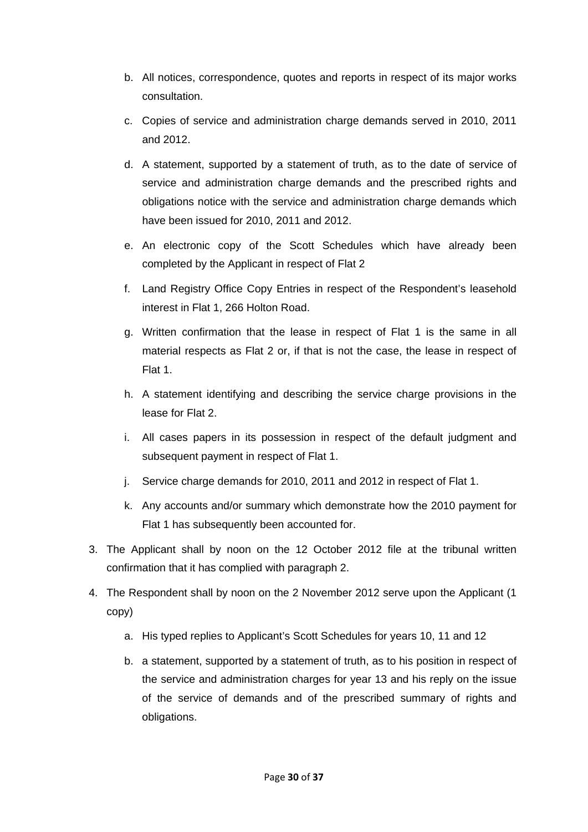- b. All notices, correspondence, quotes and reports in respect of its major works consultation.
- c. Copies of service and administration charge demands served in 2010, 2011 and 2012.
- d. A statement, supported by a statement of truth, as to the date of service of service and administration charge demands and the prescribed rights and obligations notice with the service and administration charge demands which have been issued for 2010, 2011 and 2012.
- e. An electronic copy of the Scott Schedules which have already been completed by the Applicant in respect of Flat 2
- f. Land Registry Office Copy Entries in respect of the Respondent's leasehold interest in Flat 1, 266 Holton Road.
- g. Written confirmation that the lease in respect of Flat 1 is the same in all material respects as Flat 2 or, if that is not the case, the lease in respect of Flat 1.
- h. A statement identifying and describing the service charge provisions in the lease for Flat 2.
- i. All cases papers in its possession in respect of the default judgment and subsequent payment in respect of Flat 1.
- j. Service charge demands for 2010, 2011 and 2012 in respect of Flat 1.
- k. Any accounts and/or summary which demonstrate how the 2010 payment for Flat 1 has subsequently been accounted for.
- 3. The Applicant shall by noon on the 12 October 2012 file at the tribunal written confirmation that it has complied with paragraph 2.
- 4. The Respondent shall by noon on the 2 November 2012 serve upon the Applicant (1 copy)
	- a. His typed replies to Applicant's Scott Schedules for years 10, 11 and 12
	- b. a statement, supported by a statement of truth, as to his position in respect of the service and administration charges for year 13 and his reply on the issue of the service of demands and of the prescribed summary of rights and obligations.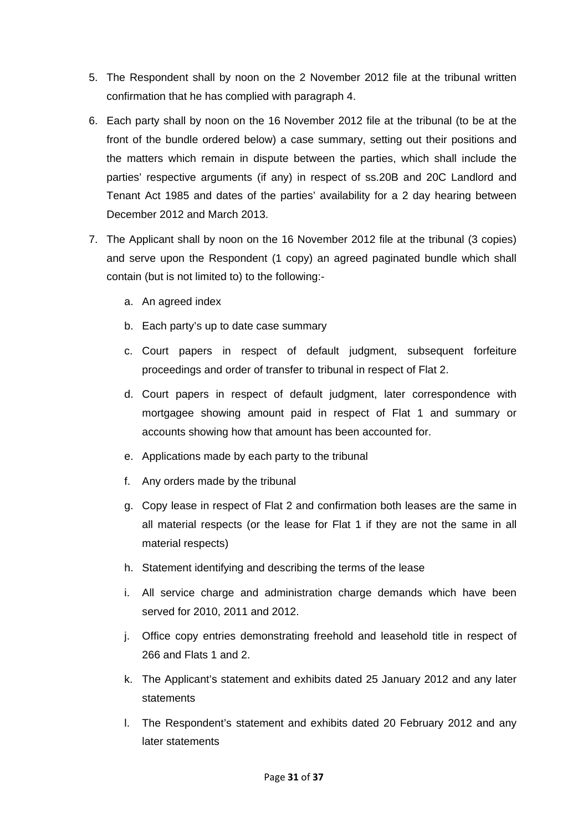- 5. The Respondent shall by noon on the 2 November 2012 file at the tribunal written confirmation that he has complied with paragraph 4.
- 6. Each party shall by noon on the 16 November 2012 file at the tribunal (to be at the front of the bundle ordered below) a case summary, setting out their positions and the matters which remain in dispute between the parties, which shall include the parties' respective arguments (if any) in respect of ss.20B and 20C Landlord and Tenant Act 1985 and dates of the parties' availability for a 2 day hearing between December 2012 and March 2013.
- 7. The Applicant shall by noon on the 16 November 2012 file at the tribunal (3 copies) and serve upon the Respondent (1 copy) an agreed paginated bundle which shall contain (but is not limited to) to the following:
	- a. An agreed index
	- b. Each party's up to date case summary
	- c. Court papers in respect of default judgment, subsequent forfeiture proceedings and order of transfer to tribunal in respect of Flat 2.
	- d. Court papers in respect of default judgment, later correspondence with mortgagee showing amount paid in respect of Flat 1 and summary or accounts showing how that amount has been accounted for.
	- e. Applications made by each party to the tribunal
	- f. Any orders made by the tribunal
	- g. Copy lease in respect of Flat 2 and confirmation both leases are the same in all material respects (or the lease for Flat 1 if they are not the same in all material respects)
	- h. Statement identifying and describing the terms of the lease
	- i. All service charge and administration charge demands which have been served for 2010, 2011 and 2012.
	- j. Office copy entries demonstrating freehold and leasehold title in respect of 266 and Flats 1 and 2.
	- k. The Applicant's statement and exhibits dated 25 January 2012 and any later statements
	- l. The Respondent's statement and exhibits dated 20 February 2012 and any later statements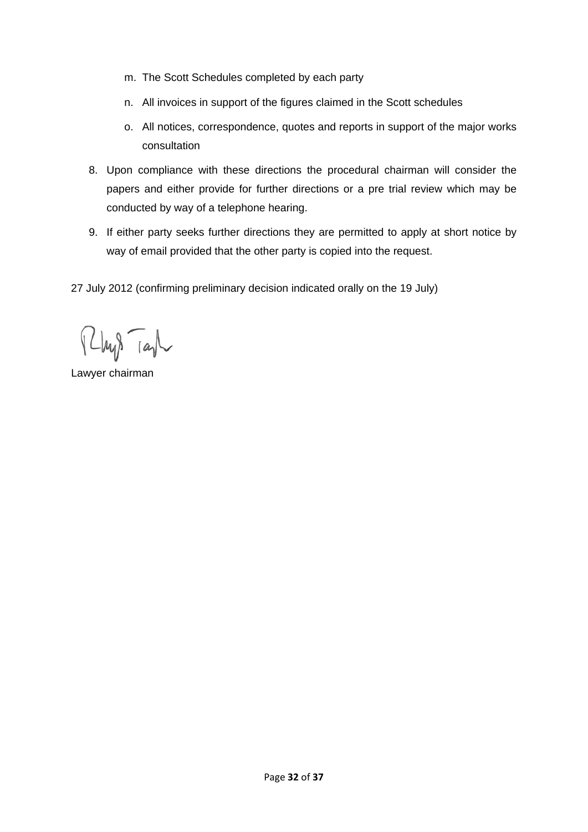- m. The Scott Schedules completed by each party
- n. All invoices in support of the figures claimed in the Scott schedules
- o. All notices, correspondence, quotes and reports in support of the major works consultation
- 8. Upon compliance with these directions the procedural chairman will consider the papers and either provide for further directions or a pre trial review which may be conducted by way of a telephone hearing.
- 9. If either party seeks further directions they are permitted to apply at short notice by way of email provided that the other party is copied into the request.

27 July 2012 (confirming preliminary decision indicated orally on the 19 July)

Phys Tash

Lawyer chairman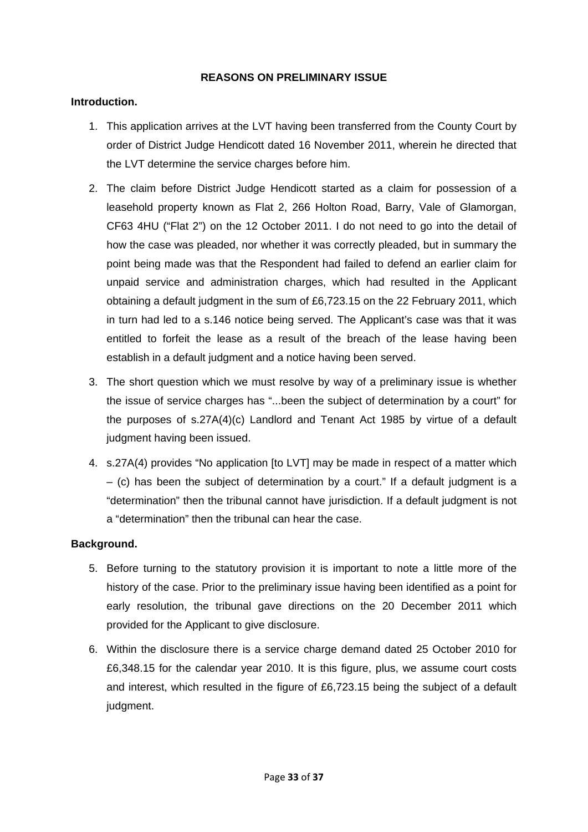#### **REASONS ON PRELIMINARY ISSUE**

### **Introduction.**

- 1. This application arrives at the LVT having been transferred from the County Court by order of District Judge Hendicott dated 16 November 2011, wherein he directed that the LVT determine the service charges before him.
- 2. The claim before District Judge Hendicott started as a claim for possession of a leasehold property known as Flat 2, 266 Holton Road, Barry, Vale of Glamorgan, CF63 4HU ("Flat 2") on the 12 October 2011. I do not need to go into the detail of how the case was pleaded, nor whether it was correctly pleaded, but in summary the point being made was that the Respondent had failed to defend an earlier claim for unpaid service and administration charges, which had resulted in the Applicant obtaining a default judgment in the sum of £6,723.15 on the 22 February 2011, which in turn had led to a s.146 notice being served. The Applicant's case was that it was entitled to forfeit the lease as a result of the breach of the lease having been establish in a default judgment and a notice having been served.
- 3. The short question which we must resolve by way of a preliminary issue is whether the issue of service charges has "...been the subject of determination by a court" for the purposes of s.27A(4)(c) Landlord and Tenant Act 1985 by virtue of a default judgment having been issued.
- 4. s.27A(4) provides "No application [to LVT] may be made in respect of a matter which  $-$  (c) has been the subject of determination by a court." If a default judgment is a "determination" then the tribunal cannot have jurisdiction. If a default judgment is not a "determination" then the tribunal can hear the case.

#### **Background.**

- 5. Before turning to the statutory provision it is important to note a little more of the history of the case. Prior to the preliminary issue having been identified as a point for early resolution, the tribunal gave directions on the 20 December 2011 which provided for the Applicant to give disclosure.
- 6. Within the disclosure there is a service charge demand dated 25 October 2010 for £6,348.15 for the calendar year 2010. It is this figure, plus, we assume court costs and interest, which resulted in the figure of £6,723.15 being the subject of a default judgment.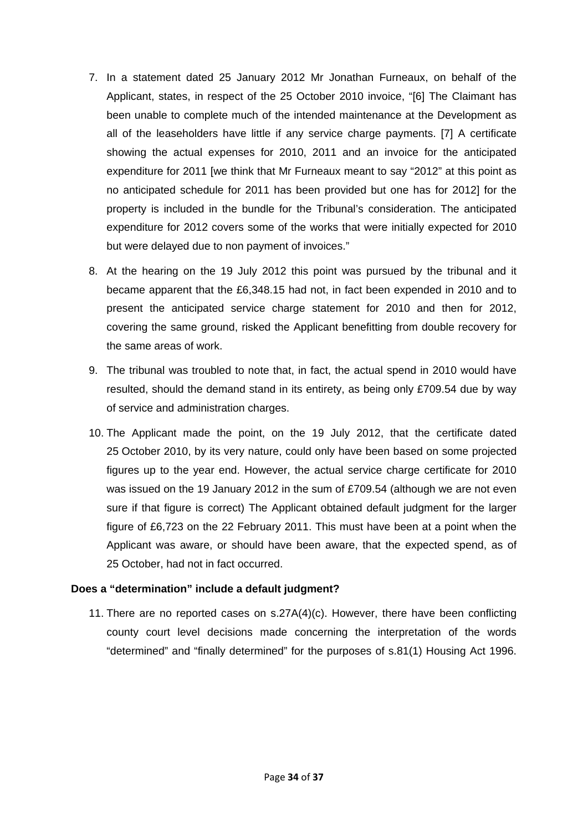- 7. In a statement dated 25 January 2012 Mr Jonathan Furneaux, on behalf of the Applicant, states, in respect of the 25 October 2010 invoice, "[6] The Claimant has been unable to complete much of the intended maintenance at the Development as all of the leaseholders have little if any service charge payments. [7] A certificate showing the actual expenses for 2010, 2011 and an invoice for the anticipated expenditure for 2011 [we think that Mr Furneaux meant to say "2012" at this point as no anticipated schedule for 2011 has been provided but one has for 2012] for the property is included in the bundle for the Tribunal's consideration. The anticipated expenditure for 2012 covers some of the works that were initially expected for 2010 but were delayed due to non payment of invoices."
- 8. At the hearing on the 19 July 2012 this point was pursued by the tribunal and it became apparent that the £6,348.15 had not, in fact been expended in 2010 and to present the anticipated service charge statement for 2010 and then for 2012, covering the same ground, risked the Applicant benefitting from double recovery for the same areas of work.
- 9. The tribunal was troubled to note that, in fact, the actual spend in 2010 would have resulted, should the demand stand in its entirety, as being only £709.54 due by way of service and administration charges.
- 10. The Applicant made the point, on the 19 July 2012, that the certificate dated 25 October 2010, by its very nature, could only have been based on some projected figures up to the year end. However, the actual service charge certificate for 2010 was issued on the 19 January 2012 in the sum of £709.54 (although we are not even sure if that figure is correct) The Applicant obtained default judgment for the larger figure of £6,723 on the 22 February 2011. This must have been at a point when the Applicant was aware, or should have been aware, that the expected spend, as of 25 October, had not in fact occurred.

#### **Does a "determination" include a default judgment?**

11. There are no reported cases on s.27A(4)(c). However, there have been conflicting county court level decisions made concerning the interpretation of the words "determined" and "finally determined" for the purposes of s.81(1) Housing Act 1996.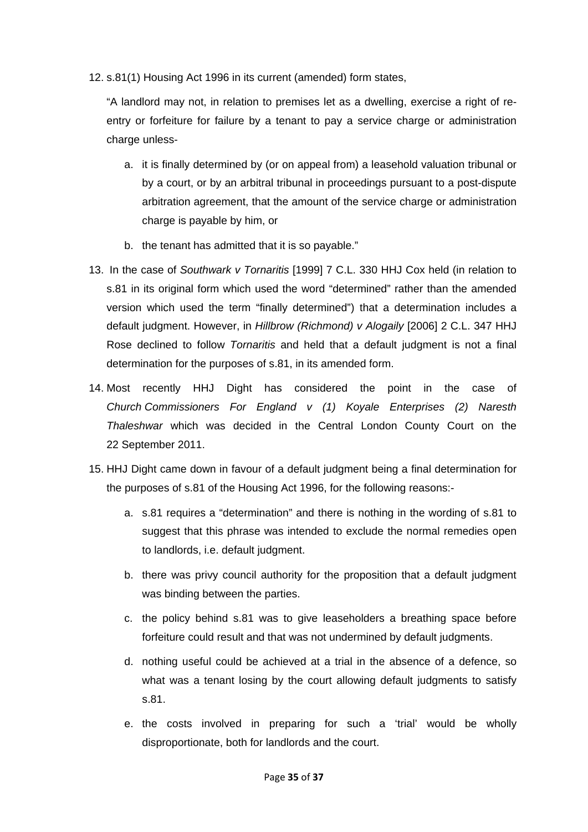12. s.81(1) Housing Act 1996 in its current (amended) form states,

"A landlord may not, in relation to premises let as a dwelling, exercise a right of reentry or forfeiture for failure by a tenant to pay a service charge or administration charge unless-

- a. it is finally determined by (or on appeal from) a leasehold valuation tribunal or by a court, or by an arbitral tribunal in proceedings pursuant to a post-dispute arbitration agreement, that the amount of the service charge or administration charge is payable by him, or
- b. the tenant has admitted that it is so payable."
- 13. In the case of *Southwark v Tornaritis* [1999] 7 C.L. 330 HHJ Cox held (in relation to s.81 in its original form which used the word "determined" rather than the amended version which used the term "finally determined") that a determination includes a default judgment. However, in *Hillbrow (Richmond) v Alogaily* [2006] 2 C.L. 347 HHJ Rose declined to follow *Tornaritis* and held that a default judgment is not a final determination for the purposes of s.81, in its amended form.
- 14. Most recently HHJ Dight has considered the point in the case of *Church Commissioners For England v (1) Koyale Enterprises (2) Naresth Thaleshwar* which was decided in the Central London County Court on the 22 September 2011.
- 15. HHJ Dight came down in favour of a default judgment being a final determination for the purposes of s.81 of the Housing Act 1996, for the following reasons:
	- a. s.81 requires a "determination" and there is nothing in the wording of s.81 to suggest that this phrase was intended to exclude the normal remedies open to landlords, i.e. default judgment.
	- b. there was privy council authority for the proposition that a default judgment was binding between the parties.
	- c. the policy behind s.81 was to give leaseholders a breathing space before forfeiture could result and that was not undermined by default judgments.
	- d. nothing useful could be achieved at a trial in the absence of a defence, so what was a tenant losing by the court allowing default judgments to satisfy s.81.
	- e. the costs involved in preparing for such a 'trial' would be wholly disproportionate, both for landlords and the court.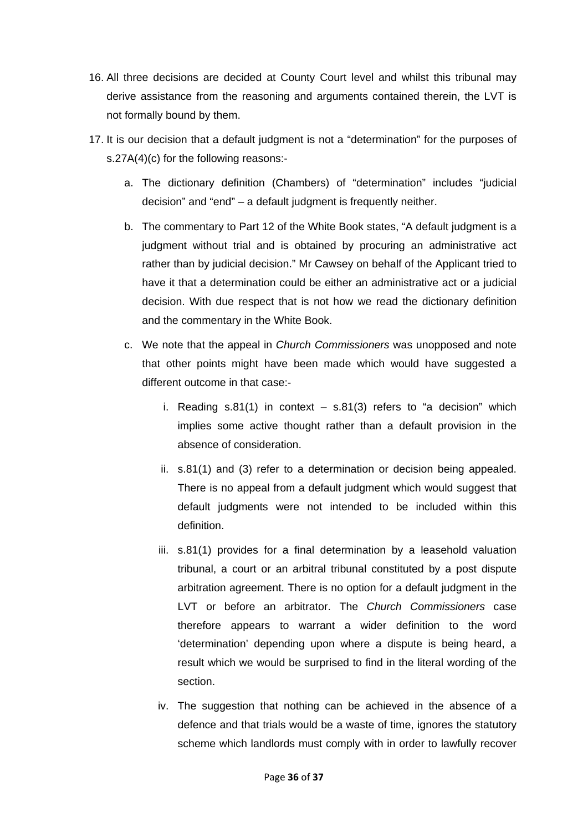- 16. All three decisions are decided at County Court level and whilst this tribunal may derive assistance from the reasoning and arguments contained therein, the LVT is not formally bound by them.
- 17. It is our decision that a default judgment is not a "determination" for the purposes of s.27A(4)(c) for the following reasons:
	- a. The dictionary definition (Chambers) of "determination" includes "judicial decision" and "end" – a default judgment is frequently neither.
	- b. The commentary to Part 12 of the White Book states, "A default judgment is a judgment without trial and is obtained by procuring an administrative act rather than by judicial decision." Mr Cawsey on behalf of the Applicant tried to have it that a determination could be either an administrative act or a judicial decision. With due respect that is not how we read the dictionary definition and the commentary in the White Book.
	- c. We note that the appeal in *Church Commissioners* was unopposed and note that other points might have been made which would have suggested a different outcome in that case:
		- i. Reading  $s.81(1)$  in context  $s.81(3)$  refers to "a decision" which implies some active thought rather than a default provision in the absence of consideration.
		- ii. s.81(1) and (3) refer to a determination or decision being appealed. There is no appeal from a default judgment which would suggest that default judgments were not intended to be included within this definition.
		- iii. s.81(1) provides for a final determination by a leasehold valuation tribunal, a court or an arbitral tribunal constituted by a post dispute arbitration agreement. There is no option for a default judgment in the LVT or before an arbitrator. The *Church Commissioners* case therefore appears to warrant a wider definition to the word 'determination' depending upon where a dispute is being heard, a result which we would be surprised to find in the literal wording of the section.
		- iv. The suggestion that nothing can be achieved in the absence of a defence and that trials would be a waste of time, ignores the statutory scheme which landlords must comply with in order to lawfully recover